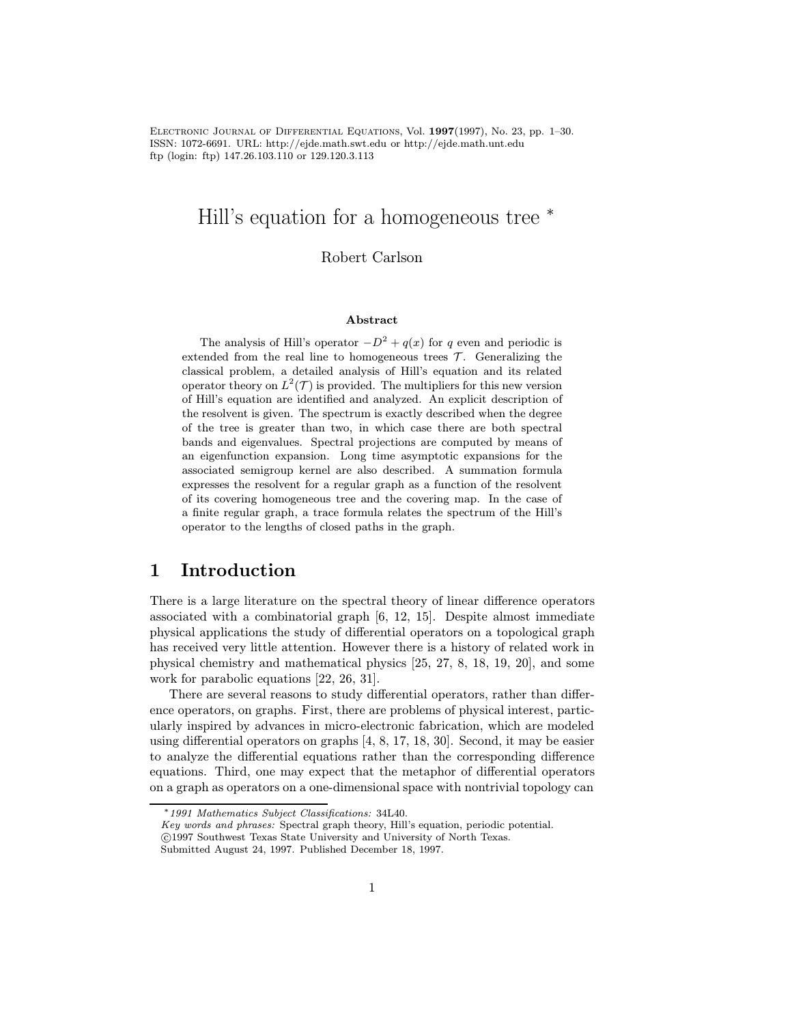Electronic Journal of Differential Equations, Vol. 1997(1997), No. 23, pp. 1–30. ISSN: 1072-6691. URL: http://ejde.math.swt.edu or http://ejde.math.unt.edu ftp (login: ftp) 147.26.103.110 or 129.120.3.113

## Hill's equation for a homogeneous tree <sup>∗</sup>

Robert Carlson

#### Abstract

The analysis of Hill's operator  $-D^2 + q(x)$  for q even and periodic is extended from the real line to homogeneous trees  $\mathcal{T}$ . Generalizing the classical problem, a detailed analysis of Hill's equation and its related operator theory on  $L^2(\mathcal{T})$  is provided. The multipliers for this new version of Hill's equation are identified and analyzed. An explicit description of the resolvent is given. The spectrum is exactly described when the degree of the tree is greater than two, in which case there are both spectral bands and eigenvalues. Spectral projections are computed by means of an eigenfunction expansion. Long time asymptotic expansions for the associated semigroup kernel are also described. A summation formula expresses the resolvent for a regular graph as a function of the resolvent of its covering homogeneous tree and the covering map. In the case of a finite regular graph, a trace formula relates the spectrum of the Hill's operator to the lengths of closed paths in the graph.

### 1 Introduction

There is a large literature on the spectral theory of linear difference operators associated with a combinatorial graph [6, 12, 15]. Despite almost immediate physical applications the study of differential operators on a topological graph has received very little attention. However there is a history of related work in physical chemistry and mathematical physics [25, 27, 8, 18, 19, 20], and some work for parabolic equations [22, 26, 31].

There are several reasons to study differential operators, rather than difference operators, on graphs. First, there are problems of physical interest, particularly inspired by advances in micro-electronic fabrication, which are modeled using differential operators on graphs [4, 8, 17, 18, 30]. Second, it may be easier to analyze the differential equations rather than the corresponding difference equations. Third, one may expect that the metaphor of differential operators on a graph as operators on a one-dimensional space with nontrivial topology can

<sup>∗</sup>1991 Mathematics Subject Classifications: 34L40.

Key words and phrases: Spectral graph theory, Hill's equation, periodic potential.

c 1997 Southwest Texas State University and University of North Texas.

Submitted August 24, 1997. Published December 18, 1997.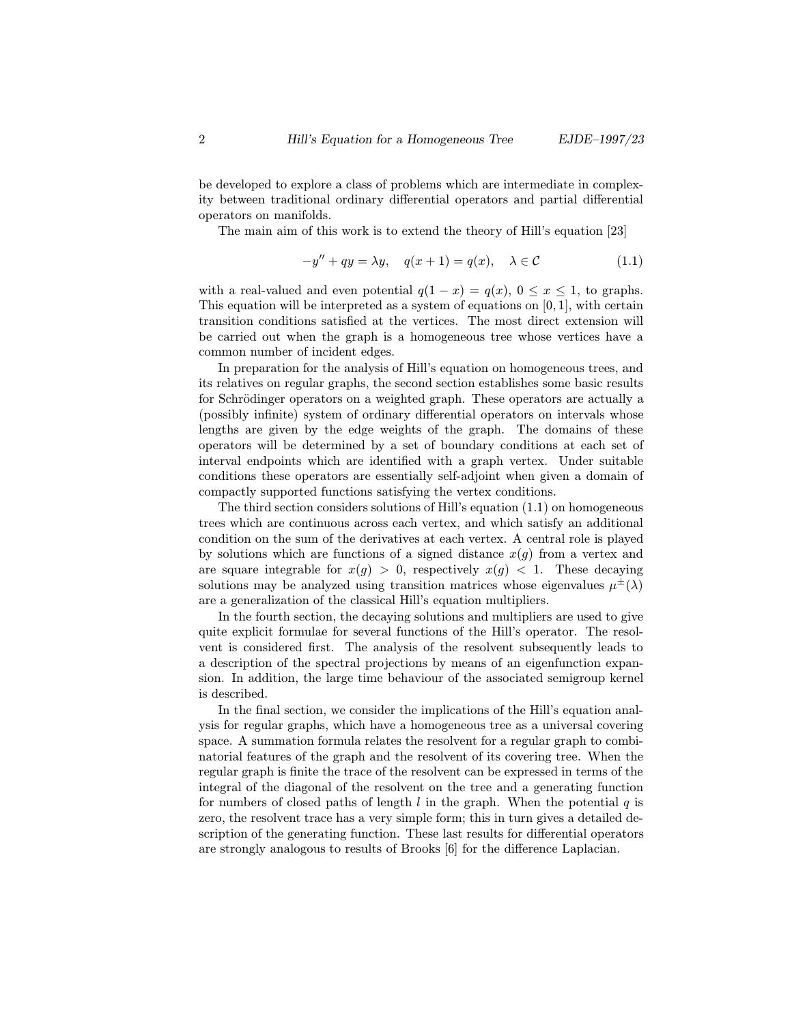be developed to explore a class of problems which are intermediate in complexity between traditional ordinary differential operators and partial differential operators on manifolds.

The main aim of this work is to extend the theory of Hill's equation [23]

$$
-y'' + qy = \lambda y, \quad q(x+1) = q(x), \quad \lambda \in \mathcal{C}
$$
\n(1.1)

with a real-valued and even potential  $q(1-x) = q(x)$ ,  $0 \le x \le 1$ , to graphs. This equation will be interpreted as a system of equations on  $[0, 1]$ , with certain transition conditions satisfied at the vertices. The most direct extension will be carried out when the graph is a homogeneous tree whose vertices have a common number of incident edges.

In preparation for the analysis of Hill's equation on homogeneous trees, and its relatives on regular graphs, the second section establishes some basic results for Schrödinger operators on a weighted graph. These operators are actually a (possibly infinite) system of ordinary differential operators on intervals whose lengths are given by the edge weights of the graph. The domains of these operators will be determined by a set of boundary conditions at each set of interval endpoints which are identified with a graph vertex. Under suitable conditions these operators are essentially self-adjoint when given a domain of compactly supported functions satisfying the vertex conditions.

The third section considers solutions of Hill's equation (1.1) on homogeneous trees which are continuous across each vertex, and which satisfy an additional condition on the sum of the derivatives at each vertex. A central role is played by solutions which are functions of a signed distance  $x(g)$  from a vertex and are square integrable for  $x(g) > 0$ , respectively  $x(g) < 1$ . These decaying solutions may be analyzed using transition matrices whose eigenvalues  $\mu^{\pm}(\lambda)$ are a generalization of the classical Hill's equation multipliers.

In the fourth section, the decaying solutions and multipliers are used to give quite explicit formulae for several functions of the Hill's operator. The resolvent is considered first. The analysis of the resolvent subsequently leads to a description of the spectral projections by means of an eigenfunction expansion. In addition, the large time behaviour of the associated semigroup kernel is described.

In the final section, we consider the implications of the Hill's equation analysis for regular graphs, which have a homogeneous tree as a universal covering space. A summation formula relates the resolvent for a regular graph to combinatorial features of the graph and the resolvent of its covering tree. When the regular graph is finite the trace of the resolvent can be expressed in terms of the integral of the diagonal of the resolvent on the tree and a generating function for numbers of closed paths of length  $l$  in the graph. When the potential  $q$  is zero, the resolvent trace has a very simple form; this in turn gives a detailed description of the generating function. These last results for differential operators are strongly analogous to results of Brooks [6] for the difference Laplacian.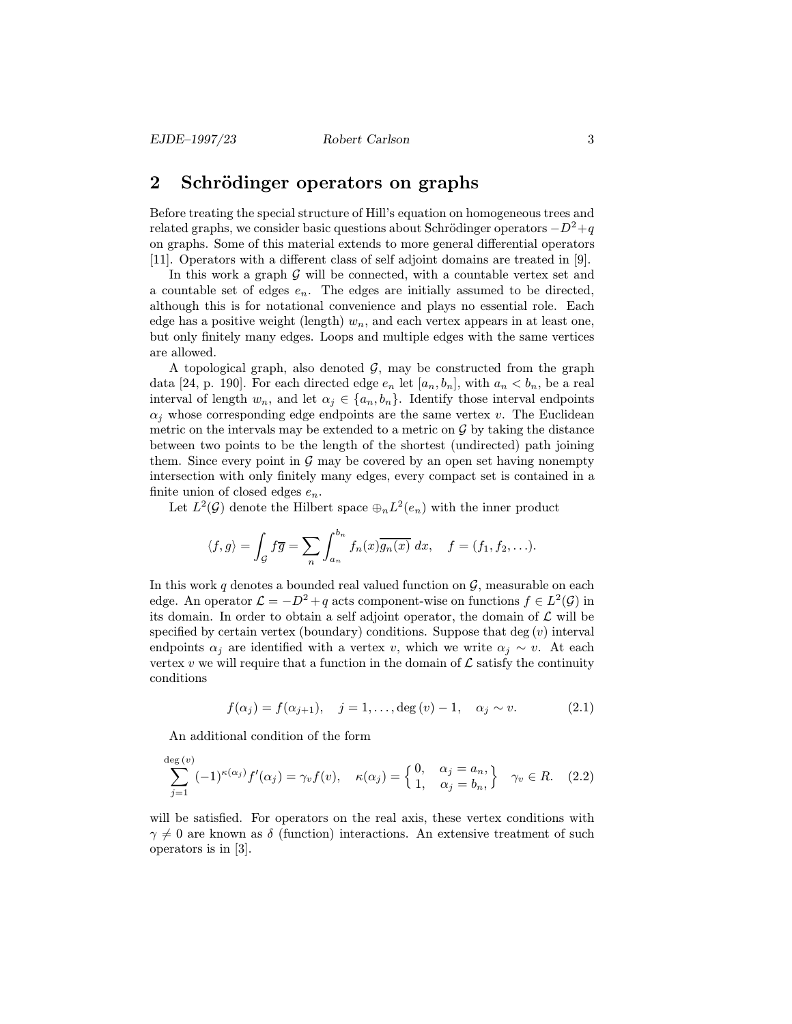## 2 Schrödinger operators on graphs

Before treating the special structure of Hill's equation on homogeneous trees and related graphs, we consider basic questions about Schrödinger operators  $-D^2+q$ on graphs. Some of this material extends to more general differential operators [11]. Operators with a different class of self adjoint domains are treated in [9].

In this work a graph  $G$  will be connected, with a countable vertex set and a countable set of edges  $e_n$ . The edges are initially assumed to be directed, although this is for notational convenience and plays no essential role. Each edge has a positive weight (length)  $w_n$ , and each vertex appears in at least one, but only finitely many edges. Loops and multiple edges with the same vertices are allowed.

A topological graph, also denoted  $\mathcal{G}$ , may be constructed from the graph data [24, p. 190]. For each directed edge  $e_n$  let  $[a_n, b_n]$ , with  $a_n < b_n$ , be a real interval of length  $w_n$ , and let  $\alpha_j \in \{a_n, b_n\}$ . Identify those interval endpoints  $\alpha_i$  whose corresponding edge endpoints are the same vertex v. The Euclidean metric on the intervals may be extended to a metric on  $\mathcal G$  by taking the distance between two points to be the length of the shortest (undirected) path joining them. Since every point in  $\mathcal G$  may be covered by an open set having nonempty intersection with only finitely many edges, every compact set is contained in a finite union of closed edges  $e_n$ .

Let  $L^2(\mathcal{G})$  denote the Hilbert space  $\bigoplus_n L^2(e_n)$  with the inner product

$$
\langle f, g \rangle = \int_{\mathcal{G}} f \overline{g} = \sum_{n} \int_{a_n}^{b_n} f_n(x) \overline{g_n(x)} dx, \quad f = (f_1, f_2, \ldots).
$$

In this work q denotes a bounded real valued function on  $\mathcal{G}$ , measurable on each edge. An operator  $\mathcal{L} = -D^2 + q$  acts component-wise on functions  $f \in L^2(\mathcal{G})$  in its domain. In order to obtain a self adjoint operator, the domain of  $\mathcal L$  will be specified by certain vertex (boundary) conditions. Suppose that  $deg(v)$  interval endpoints  $\alpha_i$  are identified with a vertex v, which we write  $\alpha_i \sim v$ . At each vertex v we will require that a function in the domain of  $\mathcal L$  satisfy the continuity conditions

$$
f(\alpha_j) = f(\alpha_{j+1}), \quad j = 1, ..., \deg(v) - 1, \quad \alpha_j \sim v.
$$
 (2.1)

An additional condition of the form

$$
\sum_{j=1}^{\deg(v)} (-1)^{\kappa(\alpha_j)} f'(\alpha_j) = \gamma_v f(v), \quad \kappa(\alpha_j) = \begin{cases} 0, & \alpha_j = a_n, \\ 1, & \alpha_j = b_n, \end{cases} \quad \gamma_v \in R. \tag{2.2}
$$

will be satisfied. For operators on the real axis, these vertex conditions with  $\gamma \neq 0$  are known as  $\delta$  (function) interactions. An extensive treatment of such operators is in [3].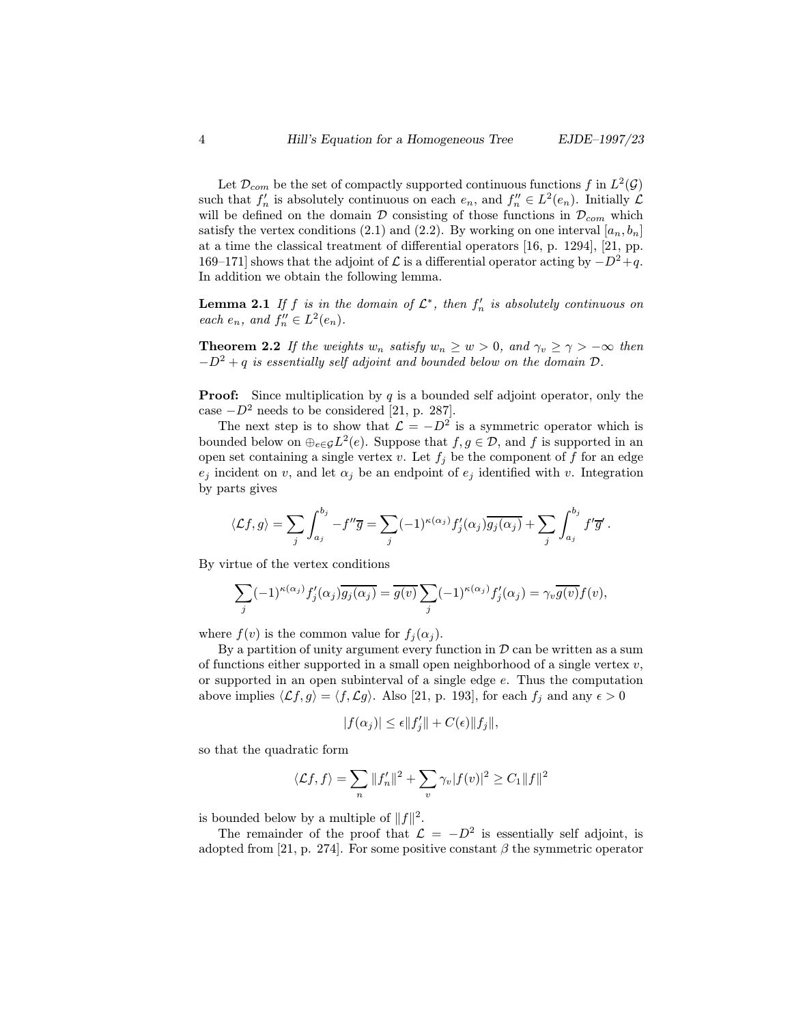Let  $\mathcal{D}_{com}$  be the set of compactly supported continuous functions f in  $L^2(\mathcal{G})$ such that  $f'_n$  is absolutely continuous on each  $e_n$ , and  $f''_n \in L^2(e_n)$ . Initially  $\mathcal L$ <br>will be defined on the domain  $\mathcal D$  consisting of these functions in  $\mathcal D$  which will be defined on the domain  $\mathcal D$  consisting of those functions in  $\mathcal D_{com}$  which satisfy the vertex conditions (2.1) and (2.2). By working on one interval  $[a_n, b_n]$ at a time the classical treatment of differential operators [16, p. 1294], [21, pp. 169–171] shows that the adjoint of  $\mathcal L$  is a differential operator acting by  $-D^2+q$ . In addition we obtain the following lemma.

**Lemma 2.1** If f is in the domain of  $\mathcal{L}^*$ , then  $f'_n$  is absolutely continuous on each  $e$  and  $f'' \in L^2(e)$ each  $e_n$ , and  $f''_n \in L^2(e_n)$ .

**Theorem 2.2** If the weights  $w_n$  satisfy  $w_n \geq w > 0$ , and  $\gamma_v \geq \gamma > -\infty$  then  $-D^2 + q$  is essentially self adjoint and bounded below on the domain  $D$ .

**Proof:** Since multiplication by q is a bounded self adjoint operator, only the case  $-D^2$  needs to be considered [21, p. 287].

The next step is to show that  $\mathcal{L} = -D^2$  is a symmetric operator which is bounded below on  $\bigoplus_{e \in \mathcal{G}} L^2(e)$ . Suppose that  $f, g \in \mathcal{D}$ , and f is supported in an open set containing a single vertex v. Let  $f_j$  be the component of f for an edge  $e_j$  incident on v, and let  $\alpha_j$  be an endpoint of  $e_j$  identified with v. Integration by parts gives

$$
\langle \mathcal{L}f, g \rangle = \sum_j \int_{a_j}^{b_j} -f''\overline{g} = \sum_j (-1)^{\kappa(\alpha_j)} f'_j(\alpha_j) \overline{g_j(\alpha_j)} + \sum_j \int_{a_j}^{b_j} f'\overline{g}'.
$$

By virtue of the vertex conditions

$$
\sum_j (-1)^{\kappa(\alpha_j)} f'_j(\alpha_j) \overline{g_j(\alpha_j)} = \overline{g(v)} \sum_j (-1)^{\kappa(\alpha_j)} f'_j(\alpha_j) = \gamma_v \overline{g(v)} f(v),
$$

where  $f(v)$  is the common value for  $f_i(\alpha_i)$ .

By a partition of unity argument every function in  $D$  can be written as a sum of functions either supported in a small open neighborhood of a single vertex  $v$ , or supported in an open subinterval of a single edge e. Thus the computation above implies  $\langle \mathcal{L}f,g\rangle = \langle f,\mathcal{L}g\rangle$ . Also [21, p. 193], for each  $f_j$  and any  $\epsilon > 0$ 

$$
|f(\alpha_j)| \leq \epsilon ||f'_j|| + C(\epsilon) ||f_j||,
$$

so that the quadratic form

$$
\langle \mathcal{L}f, f \rangle = \sum_{n} ||f_n'||^2 + \sum_{v} \gamma_v |f(v)|^2 \ge C_1 ||f||^2
$$

is bounded below by a multiple of  $||f||^2$ .

The remainder of the proof that  $\mathcal{L} = -D^2$  is essentially self adjoint, is adopted from [21, p. 274]. For some positive constant  $\beta$  the symmetric operator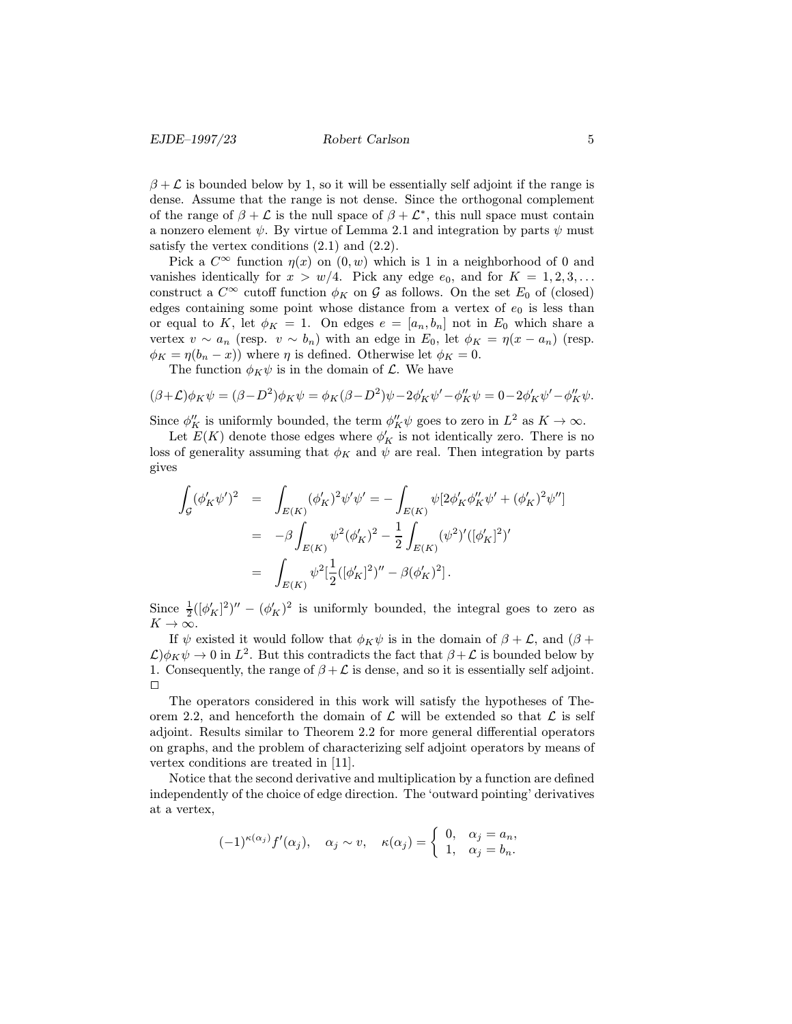$\beta + \mathcal{L}$  is bounded below by 1, so it will be essentially self adjoint if the range is dense. Assume that the range is not dense. Since the orthogonal complement of the range of  $\beta + \mathcal{L}$  is the null space of  $\beta + \mathcal{L}^*$ , this null space must contain a nonzero element  $\psi$ . By virtue of Lemma 2.1 and integration by parts  $\psi$  must satisfy the vertex conditions  $(2.1)$  and  $(2.2)$ .

Pick a  $C^{\infty}$  function  $\eta(x)$  on  $(0, w)$  which is 1 in a neighborhood of 0 and vanishes identically for  $x > w/4$ . Pick any edge  $e_0$ , and for  $K = 1, 2, 3, \ldots$ construct a  $C^{\infty}$  cutoff function  $\phi_K$  on G as follows. On the set  $E_0$  of (closed) edges containing some point whose distance from a vertex of  $e_0$  is less than or equal to K, let  $\phi_K = 1$ . On edges  $e = [a_n, b_n]$  not in  $E_0$  which share a vertex  $v \sim a_n$  (resp.  $v \sim b_n$ ) with an edge in  $E_0$ , let  $\phi_K = \eta(x - a_n)$  (resp.  $\phi_K = \eta(b_n - x)$  where  $\eta$  is defined. Otherwise let  $\phi_K = 0$ .

The function  $\phi_K \psi$  is in the domain of  $\mathcal{L}$ . We have

$$
(\beta + \mathcal{L})\phi_K \psi = (\beta - D^2)\phi_K \psi = \phi_K(\beta - D^2)\psi - 2\phi_K' \psi' - \phi_K'' \psi = 0 - 2\phi_K' \psi' - \phi_K'' \psi.
$$

Since  $\phi_K^{\prime\prime}$  is uniformly bounded, the term  $\phi_K^{\prime\prime} \psi$  goes to zero in  $L^2$  as  $K \to \infty$ .<br>Let  $F(K)$  denote these edges where  $\phi_K^{\prime\prime}$  is not identically zero. There is no

Let  $E(K)$  denote those edges where  $\phi'_{K}$  is not identically zero. There is no<br>t of generality assuming that  $\phi_{K}$  and  $\psi_{K}$  are real. Then integration by parts loss of generality assuming that  $\phi_K$  and  $\psi$  are real. Then integration by parts gives

$$
\int_{\mathcal{G}} (\phi'_{K} \psi')^{2} = \int_{E(K)} (\phi'_{K})^{2} \psi' \psi' = -\int_{E(K)} \psi[2\phi'_{K} \phi''_{K} \psi' + (\phi'_{K})^{2} \psi'']
$$
  

$$
= -\beta \int_{E(K)} \psi^{2} (\phi'_{K})^{2} - \frac{1}{2} \int_{E(K)} (\psi^{2})' ([\phi'_{K}]^{2})'
$$
  

$$
= \int_{E(K)} \psi^{2} [\frac{1}{2} ([\phi'_{K}]^{2})'' - \beta (\phi'_{K})^{2}].
$$

Since  $\frac{1}{2}((\phi'_K)^2)'' - (\phi'_K)^2$  is uniformly bounded, the integral goes to zero as  $K\to\infty$ .

If  $\psi$  existed it would follow that  $\phi_K \psi$  is in the domain of  $\beta + \mathcal{L}$ , and  $(\beta +$  $\mathcal{L}\phi_K\psi \to 0$  in  $L^2$ . But this contradicts the fact that  $\beta+\mathcal{L}$  is bounded below by 1. Consequently, the range of  $\beta + \mathcal{L}$  is dense, and so it is essentially self adjoint.  $\Box$ 

The operators considered in this work will satisfy the hypotheses of Theorem 2.2, and henceforth the domain of  $\mathcal L$  will be extended so that  $\mathcal L$  is self adjoint. Results similar to Theorem 2.2 for more general differential operators on graphs, and the problem of characterizing self adjoint operators by means of vertex conditions are treated in [11].

Notice that the second derivative and multiplication by a function are defined independently of the choice of edge direction. The 'outward pointing' derivatives at a vertex,

$$
(-1)^{\kappa(\alpha_j)}f'(\alpha_j), \quad \alpha_j \sim v, \quad \kappa(\alpha_j) = \begin{cases} 0, & \alpha_j = a_n, \\ 1, & \alpha_j = b_n. \end{cases}
$$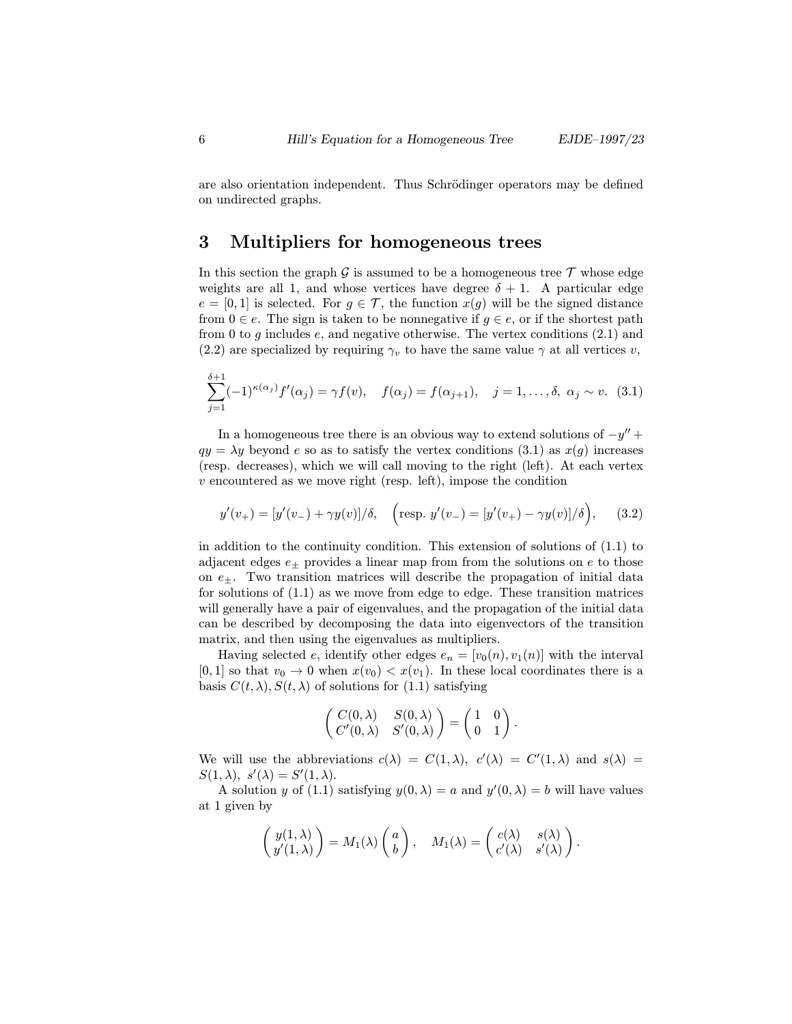are also orientation independent. Thus Schrödinger operators may be defined on undirected graphs.

## 3 Multipliers for homogeneous trees

In this section the graph  $\mathcal G$  is assumed to be a homogeneous tree  $\mathcal T$  whose edge weights are all 1, and whose vertices have degree  $\delta + 1$ . A particular edge  $e = [0, 1]$  is selected. For  $g \in \mathcal{T}$ , the function  $x(g)$  will be the signed distance from  $0 \in e$ . The sign is taken to be nonnegative if  $g \in e$ , or if the shortest path from 0 to g includes  $e$ , and negative otherwise. The vertex conditions  $(2.1)$  and (2.2) are specialized by requiring  $\gamma_v$  to have the same value  $\gamma$  at all vertices v,

$$
\sum_{j=1}^{\delta+1} (-1)^{\kappa(\alpha_j)} f'(\alpha_j) = \gamma f(v), \quad f(\alpha_j) = f(\alpha_{j+1}), \quad j = 1, ..., \delta, \ \alpha_j \sim v. \tag{3.1}
$$

In a homogeneous tree there is an obvious way to extend solutions of  $-y'' +$  $qy = \lambda y$  beyond e so as to satisfy the vertex conditions (3.1) as  $x(q)$  increases (resp. decreases), which we will call moving to the right (left). At each vertex  $v$  encountered as we move right (resp. left), impose the condition

$$
y'(v_+) = [y'(v_-) + \gamma y(v)]/\delta, \quad \left(\text{resp. } y'(v_-) = [y'(v_+) - \gamma y(v)]/\delta\right), \quad (3.2)
$$

in addition to the continuity condition. This extension of solutions of (1.1) to adjacent edges  $e_{\pm}$  provides a linear map from from the solutions on e to those on  $e_{\pm}$ . Two transition matrices will describe the propagation of initial data for solutions of  $(1.1)$  as we move from edge to edge. These transition matrices will generally have a pair of eigenvalues, and the propagation of the initial data can be described by decomposing the data into eigenvectors of the transition matrix, and then using the eigenvalues as multipliers.

Having selected e, identify other edges  $e_n = [v_0(n), v_1(n)]$  with the interval  $[0, 1]$  so that  $v_0 \to 0$  when  $x(v_0) < x(v_1)$ . In these local coordinates there is a basis  $C(t, \lambda), S(t, \lambda)$  of solutions for (1.1) satisfying

$$
\begin{pmatrix} C(0,\lambda) & S(0,\lambda) \\ C'(0,\lambda) & S'(0,\lambda) \end{pmatrix} = \begin{pmatrix} 1 & 0 \\ 0 & 1 \end{pmatrix}.
$$

We will use the abbreviations  $c(\lambda) = C(1, \lambda), c'(\lambda) = C'(1, \lambda)$  and  $s(\lambda) =$  $S(1,\lambda), s'(\lambda) = S'(1,\lambda).$ 

A solution y of (1.1) satisfying  $y(0, \lambda) = a$  and  $y'(0, \lambda) = b$  will have values at 1 given by

$$
\begin{pmatrix} y(1,\lambda) \\ y'(1,\lambda) \end{pmatrix} = M_1(\lambda) \begin{pmatrix} a \\ b \end{pmatrix}, \quad M_1(\lambda) = \begin{pmatrix} c(\lambda) & s(\lambda) \\ c'(\lambda) & s'(\lambda) \end{pmatrix}.
$$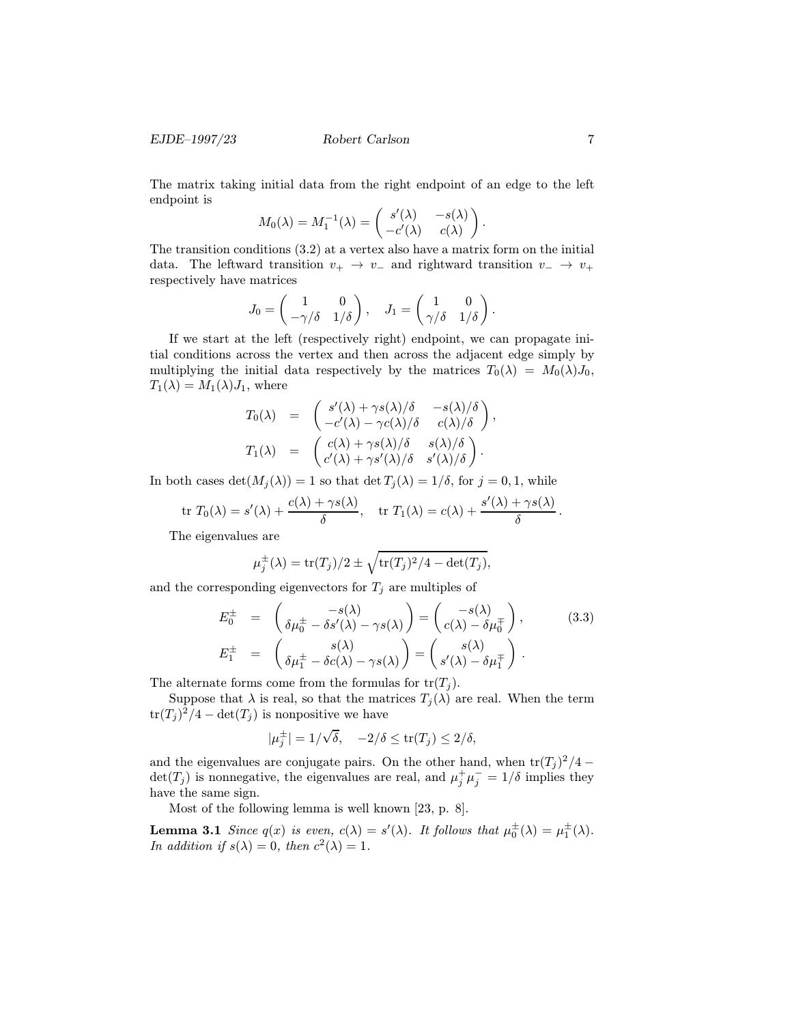The matrix taking initial data from the right endpoint of an edge to the left endpoint is

$$
M_0(\lambda) = M_1^{-1}(\lambda) = \begin{pmatrix} s'(\lambda) & -s(\lambda) \\ -c'(\lambda) & c(\lambda) \end{pmatrix}.
$$

The transition conditions (3.2) at a vertex also have a matrix form on the initial data. The leftward transition  $v_+ \rightarrow v_-$  and rightward transition  $v_- \rightarrow v_+$ respectively have matrices

$$
J_0 = \begin{pmatrix} 1 & 0 \\ -\gamma/\delta & 1/\delta \end{pmatrix}, \quad J_1 = \begin{pmatrix} 1 & 0 \\ \gamma/\delta & 1/\delta \end{pmatrix}.
$$

If we start at the left (respectively right) endpoint, we can propagate initial conditions across the vertex and then across the adjacent edge simply by multiplying the initial data respectively by the matrices  $T_0(\lambda) = M_0(\lambda)J_0$ ,  $T_1(\lambda) = M_1(\lambda) J_1$ , where

$$
T_0(\lambda) = \begin{pmatrix} s'(\lambda) + \gamma s(\lambda)/\delta & -s(\lambda)/\delta \\ -c'(\lambda) - \gamma c(\lambda)/\delta & c(\lambda)/\delta \end{pmatrix},
$$
  
\n
$$
T_1(\lambda) = \begin{pmatrix} c(\lambda) + \gamma s(\lambda)/\delta & s(\lambda)/\delta \\ c'(\lambda) + \gamma s'(\lambda)/\delta & s'(\lambda)/\delta \end{pmatrix}.
$$

In both cases  $\det(M_j(\lambda)) = 1$  so that  $\det T_j(\lambda) = 1/\delta$ , for  $j = 0, 1$ , while

$$
\operatorname{tr} T_0(\lambda) = s'(\lambda) + \frac{c(\lambda) + \gamma s(\lambda)}{\delta}, \quad \operatorname{tr} T_1(\lambda) = c(\lambda) + \frac{s'(\lambda) + \gamma s(\lambda)}{\delta}.
$$

The eigenvalues are

$$
\mu_j^{\pm}(\lambda) = \text{tr}(T_j)/2 \pm \sqrt{\text{tr}(T_j)^2/4 - \text{det}(T_j)},
$$

and the corresponding eigenvectors for  $T_j$  are multiples of

$$
E_0^{\pm} = \begin{pmatrix} -s(\lambda) \\ \delta \mu_0^{\pm} - \delta s'(\lambda) - \gamma s(\lambda) \end{pmatrix} = \begin{pmatrix} -s(\lambda) \\ c(\lambda) - \delta \mu_0^{\pm} \end{pmatrix},
$$
(3.3)  

$$
E_1^{\pm} = \begin{pmatrix} s(\lambda) \\ \delta \mu_1^{\pm} - \delta c(\lambda) - \gamma s(\lambda) \end{pmatrix} = \begin{pmatrix} s(\lambda) \\ s'(\lambda) - \delta \mu_1^{\pm} \end{pmatrix}.
$$

The alternate forms come from the formulas for  $tr(T_i)$ .

Suppose that  $\lambda$  is real, so that the matrices  $T_j(\lambda)$  are real. When the term  $\text{tr}(T_j)^2/4 - \text{det}(T_j)$  is nonpositive we have

$$
|\mu_j^{\pm}| = 1/\sqrt{\delta}, \quad -2/\delta \le \text{tr}(T_j) \le 2/\delta,
$$

and the eigenvalues are conjugate pairs. On the other hand, when  $\text{tr}(T_i)^2/4$  –  $\det(T_j)$  is nonnegative, the eigenvalues are real, and  $\mu_j^+ \mu_j^- = 1/\delta$  implies they<br>have the same sign have the same sign.

Most of the following lemma is well known [23, p. 8].

**Lemma 3.1** Since  $q(x)$  is even,  $c(\lambda) = s'(\lambda)$ . It follows that  $\mu_0^{\pm}(\lambda) = \mu_1^{\pm}(\lambda)$ . In addition if  $s(\lambda)=0$ , then  $c^2(\lambda)=1$ .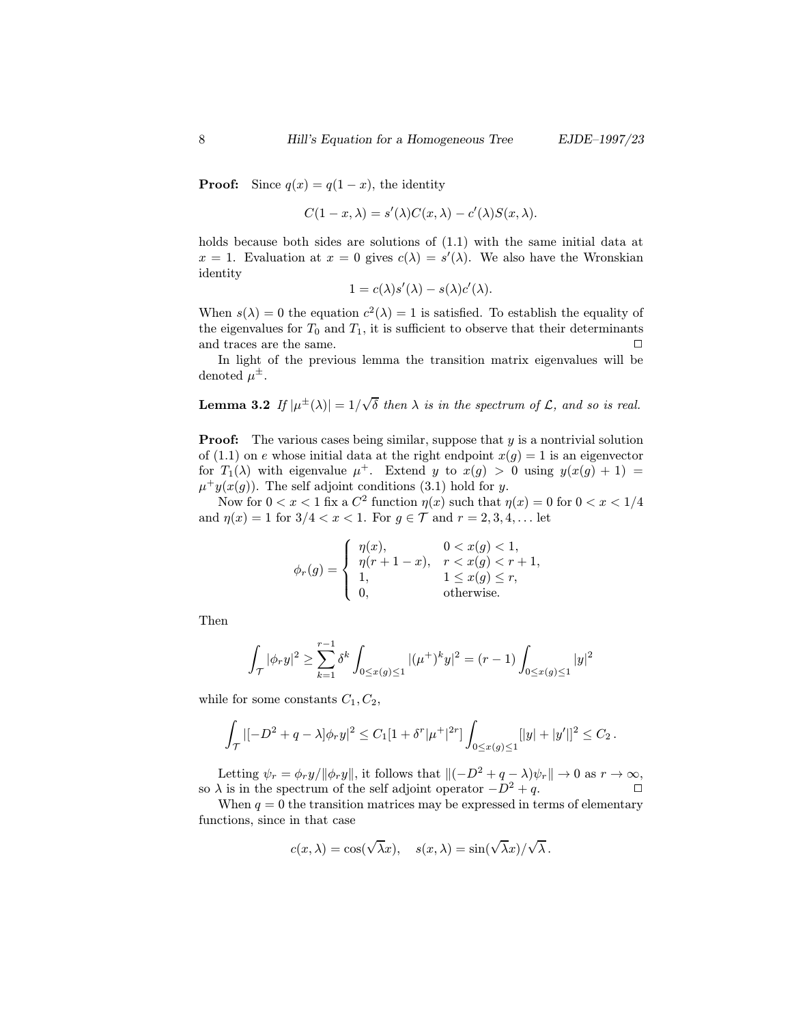**Proof:** Since  $q(x) = q(1-x)$ , the identity

$$
C(1-x,\lambda) = s'(\lambda)C(x,\lambda) - c'(\lambda)S(x,\lambda).
$$

holds because both sides are solutions of (1.1) with the same initial data at  $x = 1$ . Evaluation at  $x = 0$  gives  $c(\lambda) = s'(\lambda)$ . We also have the Wronskian identity

$$
1 = c(\lambda)s'(\lambda) - s(\lambda)c'(\lambda).
$$

When  $s(\lambda) = 0$  the equation  $c^2(\lambda) = 1$  is satisfied. To establish the equality of the eigenvalues for  $T_0$  and  $T_1$ , it is sufficient to observe that their determinants and traces are the same.  $\Box$ 

In light of the previous lemma the transition matrix eigenvalues will be denoted  $\mu^{\pm}$ .

Lemma 3.2  $\textit{If }|\mu^{\pm}(\lambda)|=1/\sqrt{2}$  $\delta$  then  $\lambda$  is in the spectrum of  $\mathcal{L}$ , and so is real.

**Proof:** The various cases being similar, suppose that  $y$  is a nontrivial solution of (1.1) on e whose initial data at the right endpoint  $x(g) = 1$  is an eigenvector for  $T_1(\lambda)$  with eigenvalue  $\mu^+$ . Extend y to  $x(g) > 0$  using  $y(x(g) + 1) =$  $\mu^+y(x(g))$ . The self adjoint conditions (3.1) hold for y.

Now for  $0 < x < 1$  fix a  $C^2$  function  $\eta(x)$  such that  $\eta(x) = 0$  for  $0 < x < 1/4$ and  $\eta(x) = 1$  for  $3/4 < x < 1$ . For  $g \in \mathcal{T}$  and  $r = 2, 3, 4, ...$  let

$$
\phi_r(g) = \begin{cases} \eta(x), & 0 < x(g) < 1, \\ \eta(r+1-x), & r < x(g) < r+1, \\ 1, & 1 \le x(g) \le r, \\ 0, & \text{otherwise.} \end{cases}
$$

Then

$$
\int_{\mathcal{T}} |\phi_r y|^2 \ge \sum_{k=1}^{r-1} \delta^k \int_{0 \le x(g) \le 1} |(\mu^+)^k y|^2 = (r-1) \int_{0 \le x(g) \le 1} |y|^2
$$

while for some constants  $C_1, C_2$ ,

$$
\int_{\mathcal{T}} |[-D^2 + q - \lambda] \phi_r y|^2 \leq C_1 [1 + \delta^r | \mu^+ |^{2r}] \int_{0 \leq x(g) \leq 1} [|y| + |y'|]^2 \leq C_2.
$$

Letting  $\psi_r = \phi_r y / ||\phi_r y||$ , it follows that  $\|(-D^2 + q - \lambda)\psi_r\| \to 0$  as  $r \to \infty$ ,<br>  $\lambda$  is in the spectrum of the self adjoint operator  $-D^2 + q$ so  $\lambda$  is in the spectrum of the self adjoint operator  $-D^2 + q$ .

When  $q = 0$  the transition matrices may be expressed in terms of elementary functions, since in that case

$$
c(x, \lambda) = \cos(\sqrt{\lambda}x), \quad s(x, \lambda) = \sin(\sqrt{\lambda}x)/\sqrt{\lambda}.
$$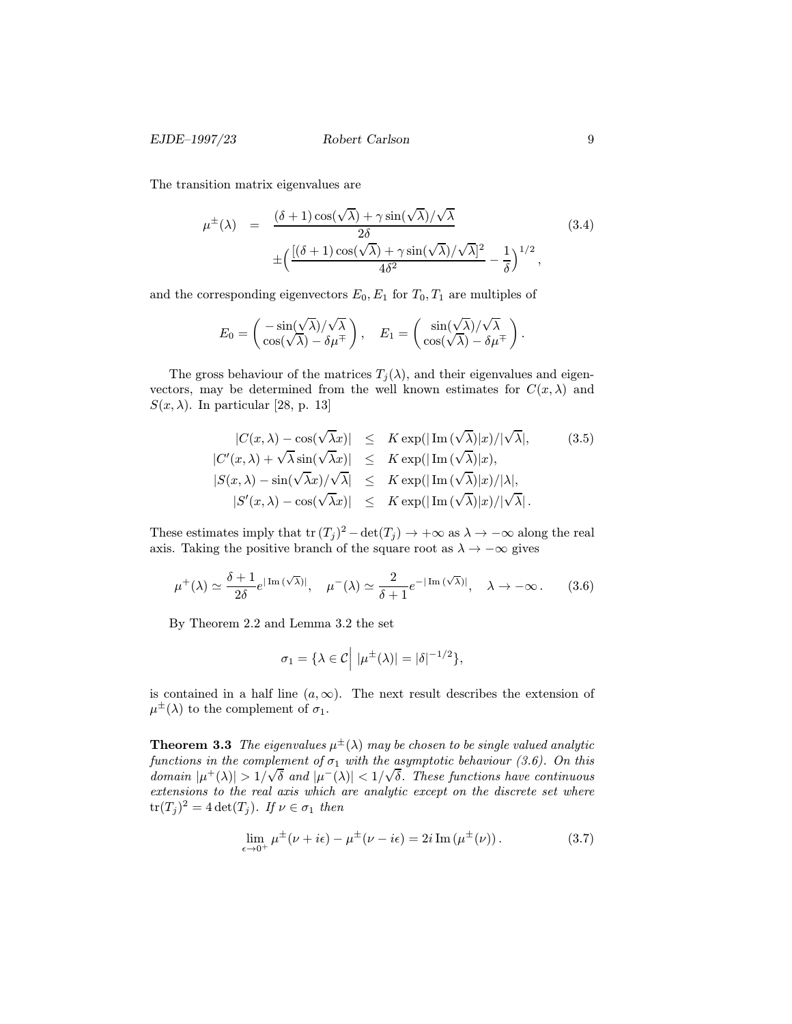The transition matrix eigenvalues are

$$
\mu^{\pm}(\lambda) = \frac{(\delta + 1)\cos(\sqrt{\lambda}) + \gamma\sin(\sqrt{\lambda})/\sqrt{\lambda}}{2\delta}
$$
\n
$$
\pm \left( \frac{[(\delta + 1)\cos(\sqrt{\lambda}) + \gamma\sin(\sqrt{\lambda})/\sqrt{\lambda}]^2}{4\delta^2} - \frac{1}{\delta} \right)^{1/2},
$$
\n(3.4)

and the corresponding eigenvectors  $E_0, E_1$  for  $T_0, T_1$  are multiples of

$$
E_0 = \begin{pmatrix} -\sin(\sqrt{\lambda})/\sqrt{\lambda} \\ \cos(\sqrt{\lambda}) - \delta \mu^{\mp} \end{pmatrix}, \quad E_1 = \begin{pmatrix} \sin(\sqrt{\lambda})/\sqrt{\lambda} \\ \cos(\sqrt{\lambda}) - \delta \mu^{\mp} \end{pmatrix}.
$$

The gross behaviour of the matrices  $T_i(\lambda)$ , and their eigenvalues and eigenvectors, may be determined from the well known estimates for  $C(x, \lambda)$  and  $S(x, \lambda)$ . In particular [28, p. 13]

$$
|C(x,\lambda) - \cos(\sqrt{\lambda}x)| \leq K \exp(|\operatorname{Im}(\sqrt{\lambda})|x)/|\sqrt{\lambda}|, \qquad (3.5)
$$
  
\n
$$
|C'(x,\lambda) + \sqrt{\lambda} \sin(\sqrt{\lambda}x)| \leq K \exp(|\operatorname{Im}(\sqrt{\lambda})|x),
$$
  
\n
$$
|S(x,\lambda) - \sin(\sqrt{\lambda}x)/\sqrt{\lambda}| \leq K \exp(|\operatorname{Im}(\sqrt{\lambda})|x)/|\lambda|,
$$
  
\n
$$
|S'(x,\lambda) - \cos(\sqrt{\lambda}x)| \leq K \exp(|\operatorname{Im}(\sqrt{\lambda})|x)/|\sqrt{\lambda}|.
$$

These estimates imply that tr  $(T_j)^2 - \det(T_j) \to +\infty$  as  $\lambda \to -\infty$  along the real axis. Taking the positive branch of the square root as  $\lambda \to -\infty$  gives

$$
\mu^{+}(\lambda) \simeq \frac{\delta + 1}{2\delta} e^{|\operatorname{Im}(\sqrt{\lambda})|}, \quad \mu^{-}(\lambda) \simeq \frac{2}{\delta + 1} e^{-|\operatorname{Im}(\sqrt{\lambda})|}, \quad \lambda \to -\infty. \tag{3.6}
$$

By Theorem 2.2 and Lemma 3.2 the set

$$
\sigma_1 = \{\lambda \in \mathcal{C} \mid |\mu^{\pm}(\lambda)| = |\delta|^{-1/2}\},\
$$

is contained in a half line  $(a, \infty)$ . The next result describes the extension of  $\mu^{\pm}(\lambda)$  to the complement of  $\sigma_1$ .

**Theorem 3.3** The eigenvalues  $\mu^{\pm}(\lambda)$  may be chosen to be single valued analytic functions in the complement of  $\sigma_1$  with the asymptotic behaviour (3.6). On this domain  $|\mu^+(\lambda)| > 1/\sqrt{\delta}$  and  $|\mu^-(\lambda)| < 1/\sqrt{\delta}$ . These functions have continuous extensions to the real axis which are analytic except on the discrete set where  $tr(T_j)^2 = 4 \det(T_j)$ . If  $\nu \in \sigma_1$  then

$$
\lim_{\epsilon \to 0^+} \mu^{\pm}(\nu + i\epsilon) - \mu^{\pm}(\nu - i\epsilon) = 2i \operatorname{Im}(\mu^{\pm}(\nu)). \tag{3.7}
$$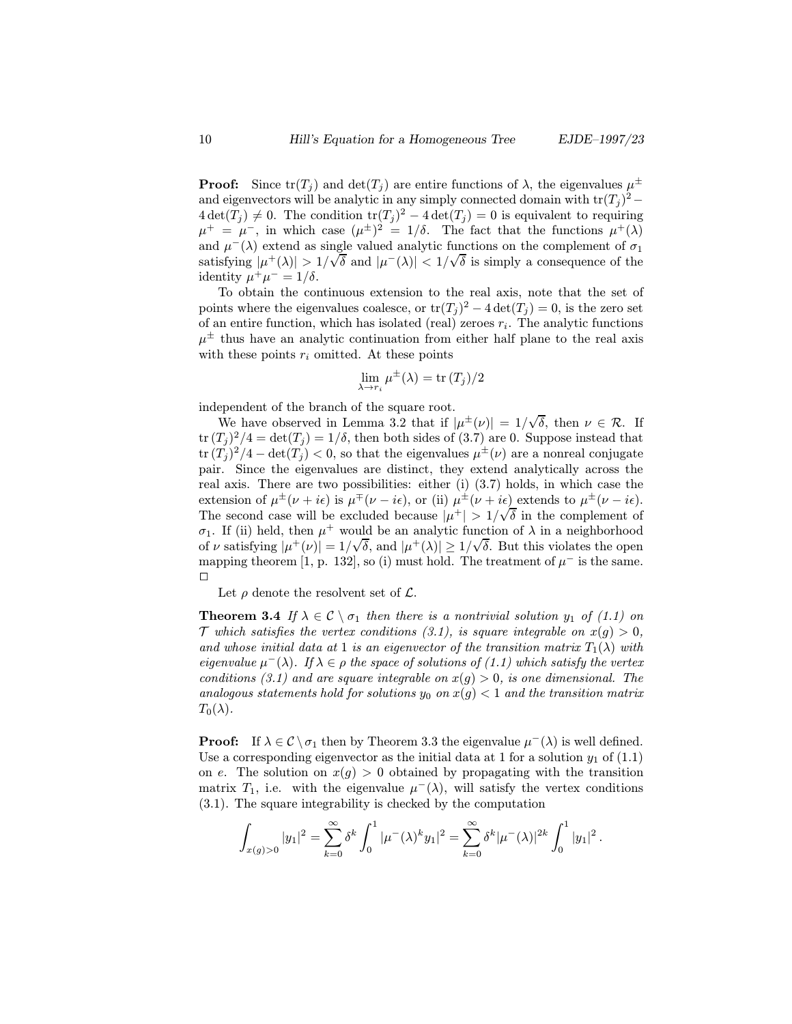**Proof:** Since  $tr(T_j)$  and  $det(T_j)$  are entire functions of  $\lambda$ , the eigenvalues  $\mu^{\pm}$ and eigenvectors will be analytic in any simply connected domain with  $\text{tr}(T_i)^2$  –  $4 \det(T_i) \neq 0$ . The condition  $\text{tr}(T_i)^2 - 4 \det(T_i) = 0$  is equivalent to requiring  $\mu^+ = \mu^-$ , in which case  $(\mu^{\pm})^2 = 1/\delta$ . The fact that the functions  $\mu^+(\lambda)$ and  $\mu^{-}(\lambda)$  extend as single valued analytic functions on the complement of  $\sigma_1$ satisfying  $|\mu^+(\lambda)| > 1/\sqrt{\delta}$  and  $|\mu^-(\lambda)| < 1/\sqrt{\delta}$  is simply a consequence of the identity  $\mu^+\mu^- = 1/\delta$ .

To obtain the continuous extension to the real axis, note that the set of points where the eigenvalues coalesce, or  $\text{tr}(T_i)^2 - 4 \det(T_i) = 0$ , is the zero set of an entire function, which has isolated (real) zeroes  $r_i$ . The analytic functions  $\mu^{\pm}$  thus have an analytic continuation from either half plane to the real axis with these points  $r_i$  omitted. At these points

$$
\lim_{\lambda \to r_i} \mu^{\pm}(\lambda) = \text{tr}(T_j)/2
$$

independent of the branch of the square root.

ependent or the branch or the square root.<br>We have observed in Lemma 3.2 that if  $|\mu^{\pm}(\nu)| = 1/\sqrt{\pi}$ δ, then  $\nu \in \mathcal{R}$ . If  $tr (T_i)^2/4 = det(T_i) = 1/\delta$ , then both sides of (3.7) are 0. Suppose instead that  $\text{tr} (T_i)^2/4 - \text{det}(T_i) < 0$ , so that the eigenvalues  $\mu^{\pm}(\nu)$  are a nonreal conjugate pair. Since the eigenvalues are distinct, they extend analytically across the real axis. There are two possibilities: either (i) (3.7) holds, in which case the extension of  $\mu^{\pm}(\nu + i\epsilon)$  is  $\mu^{\mp}(\nu - i\epsilon)$ , or (ii)  $\mu^{\pm}(\nu + i\epsilon)$  extends to  $\mu^{\pm}(\nu - i\epsilon)$ . The second case will be excluded because  $|\mu^+| > 1/\sqrt{\delta}$  in the complement of  $\sigma_1$ . If (ii) held, then  $\mu^+$  would be an analytic function of  $\lambda$  in a neighborhood of v satisfying  $|\mu^+(\nu)| = 1/\sqrt{\delta}$ , and  $|\mu^+(\lambda)| \geq 1/\sqrt{\delta}$ . But this violates the open mapping theorem [1, p. 132], so (i) must hold. The treatment of  $\mu^-$  is the same.  $\Box$ 

Let  $\rho$  denote the resolvent set of  $\mathcal{L}$ .

**Theorem 3.4** If  $\lambda \in \mathcal{C} \setminus \sigma_1$  then there is a nontrivial solution  $y_1$  of (1.1) on  $\mathcal T$  which satisfies the vertex conditions (3.1), is square integrable on  $x(g) > 0$ , and whose initial data at 1 is an eigenvector of the transition matrix  $T_1(\lambda)$  with eigenvalue  $\mu^{-}(\lambda)$ . If  $\lambda \in \rho$  the space of solutions of (1.1) which satisfy the vertex conditions (3.1) and are square integrable on  $x(q) > 0$ , is one dimensional. The analogous statements hold for solutions  $y_0$  on  $x(g) < 1$  and the transition matrix  $T_0(\lambda)$ .

**Proof:** If  $\lambda \in \mathcal{C} \setminus \sigma_1$  then by Theorem 3.3 the eigenvalue  $\mu^-(\lambda)$  is well defined. Use a corresponding eigenvector as the initial data at 1 for a solution  $y_1$  of (1.1) on e. The solution on  $x(g) > 0$  obtained by propagating with the transition matrix  $T_1$ , i.e. with the eigenvalue  $\mu^-(\lambda)$ , will satisfy the vertex conditions (3.1). The square integrability is checked by the computation

$$
\int_{x(g)>0} |y_1|^2 = \sum_{k=0}^{\infty} \delta^k \int_0^1 |\mu^-(\lambda)^k y_1|^2 = \sum_{k=0}^{\infty} \delta^k |\mu^-(\lambda)|^{2k} \int_0^1 |y_1|^2.
$$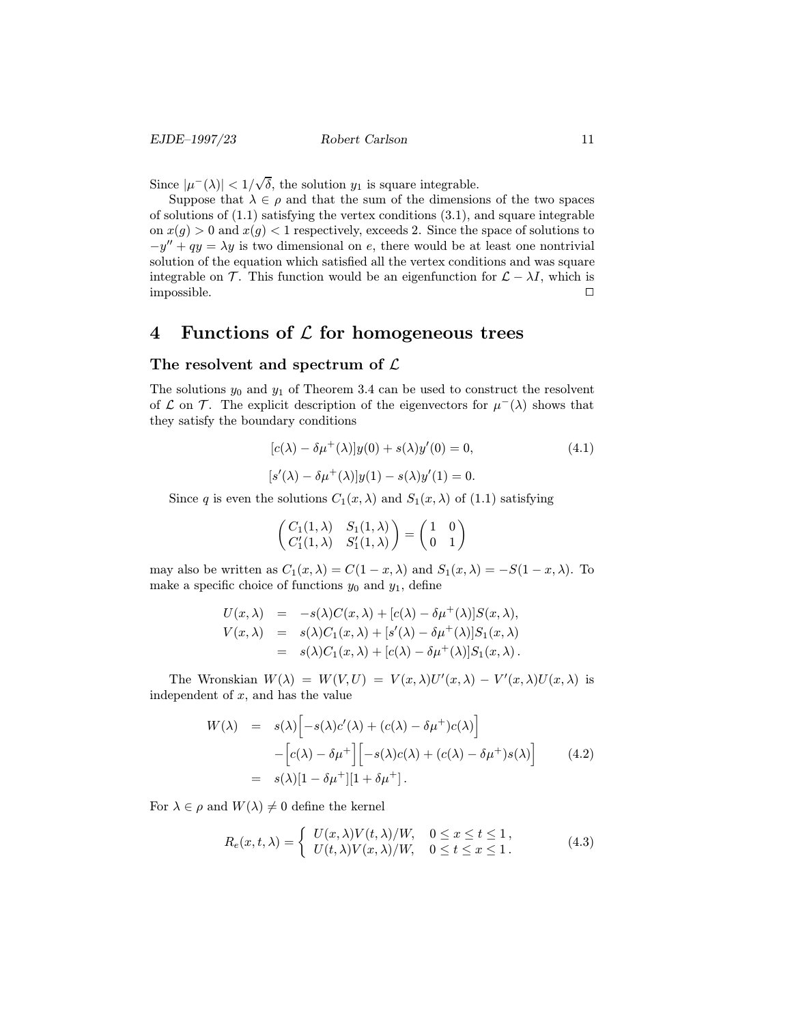Since  $|\mu^-(\lambda)| < 1/\sqrt{2}$  $\delta$ , the solution  $y_1$  is square integrable.

Suppose that  $\lambda \in \rho$  and that the sum of the dimensions of the two spaces of solutions of  $(1.1)$  satisfying the vertex conditions  $(3.1)$ , and square integrable on  $x(g) > 0$  and  $x(g) < 1$  respectively, exceeds 2. Since the space of solutions to  $-y'' + qy = \lambda y$  is two dimensional on e, there would be at least one nontrivial solution of the equation which satisfied all the vertex conditions and was square integrable on T. This function would be an eigenfunction for  $\mathcal{L} - \lambda I$ , which is impossible.  $\Box$ 

## 4 Functions of  $\mathcal L$  for homogeneous trees

#### The resolvent and spectrum of  $\mathcal L$

The solutions  $y_0$  and  $y_1$  of Theorem 3.4 can be used to construct the resolvent of  $\mathcal L$  on  $\mathcal T$ . The explicit description of the eigenvectors for  $\mu^-(\lambda)$  shows that they satisfy the boundary conditions

$$
[c(\lambda) - \delta \mu^{+}(\lambda)]y(0) + s(\lambda)y'(0) = 0,
$$
\n
$$
[s'(\lambda) - \delta \mu^{+}(\lambda)]y(1) - s(\lambda)y'(1) = 0.
$$
\n(4.1)

Since q is even the solutions  $C_1(x, \lambda)$  and  $S_1(x, \lambda)$  of (1.1) satisfying

$$
\begin{pmatrix} C_1(1,\lambda) & S_1(1,\lambda) \\ C'_1(1,\lambda) & S'_1(1,\lambda) \end{pmatrix} = \begin{pmatrix} 1 & 0 \\ 0 & 1 \end{pmatrix}
$$

may also be written as  $C_1(x, \lambda) = C(1-x, \lambda)$  and  $S_1(x, \lambda) = -S(1-x, \lambda)$ . To make a specific choice of functions  $y_0$  and  $y_1$ , define

$$
U(x,\lambda) = -s(\lambda)C(x,\lambda) + [c(\lambda) - \delta\mu^{+}(\lambda)]S(x,\lambda),
$$
  
\n
$$
V(x,\lambda) = s(\lambda)C_{1}(x,\lambda) + [s'(\lambda) - \delta\mu^{+}(\lambda)]S_{1}(x,\lambda)
$$
  
\n
$$
= s(\lambda)C_{1}(x,\lambda) + [c(\lambda) - \delta\mu^{+}(\lambda)]S_{1}(x,\lambda).
$$

The Wronskian  $W(\lambda) = W(V, U) = V(x, \lambda)U'(x, \lambda) - V'(x, \lambda)U(x, \lambda)$  is independent of  $x$ , and has the value

$$
W(\lambda) = s(\lambda) \Big[ -s(\lambda)c'(\lambda) + (c(\lambda) - \delta \mu^+)c(\lambda) \Big]
$$
  
 
$$
- \Big[c(\lambda) - \delta \mu^+ \Big] \Big[ -s(\lambda)c(\lambda) + (c(\lambda) - \delta \mu^+)s(\lambda) \Big]
$$
  
 
$$
= s(\lambda)[1 - \delta \mu^+] [1 + \delta \mu^+]. \tag{4.2}
$$

For  $\lambda \in \rho$  and  $W(\lambda) \neq 0$  define the kernel

$$
R_e(x, t, \lambda) = \begin{cases} U(x, \lambda)V(t, \lambda)/W, & 0 \le x \le t \le 1, \\ U(t, \lambda)V(x, \lambda)/W, & 0 \le t \le x \le 1. \end{cases}
$$
(4.3)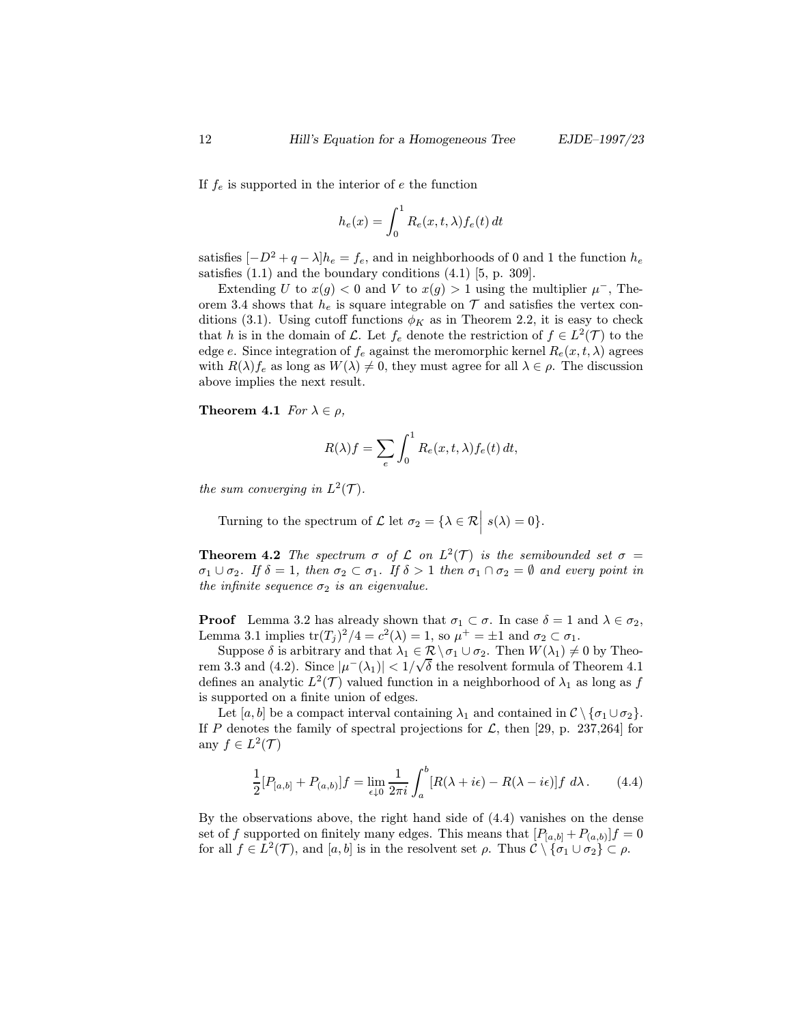If  $f_e$  is supported in the interior of e the function

$$
h_e(x) = \int_0^1 R_e(x, t, \lambda) f_e(t) dt
$$

satisfies  $[-D^2 + q - \lambda]h_e = f_e$ , and in neighborhoods of 0 and 1 the function  $h_e$ satisfies  $(1.1)$  and the boundary conditions  $(4.1)$  [5, p. 309].

Extending U to  $x(q) < 0$  and V to  $x(q) > 1$  using the multiplier  $\mu^{-}$ , Theorem 3.4 shows that  $h_e$  is square integrable on  $\mathcal T$  and satisfies the vertex conditions (3.1). Using cutoff functions  $\phi_K$  as in Theorem 2.2, it is easy to check that h is in the domain of L. Let  $f_e$  denote the restriction of  $f \in L^2(\mathcal{T})$  to the edge e. Since integration of  $f_e$  against the meromorphic kernel  $R_e(x, t, \lambda)$  agrees with  $R(\lambda) f_e$  as long as  $W(\lambda) \neq 0$ , they must agree for all  $\lambda \in \rho$ . The discussion above implies the next result.

**Theorem 4.1** For  $\lambda \in \rho$ ,

$$
R(\lambda)f = \sum_{e} \int_0^1 R_e(x, t, \lambda) f_e(t) dt,
$$

the sum converging in  $L^2(\mathcal{T})$ .

Turning to the spectrum of  $\mathcal{L}$  let  $\sigma_2 = {\lambda \in \mathcal{R} | s(\lambda) = 0}.$ 

**Theorem 4.2** The spectrum  $\sigma$  of  $\mathcal{L}$  on  $L^2(\mathcal{T})$  is the semibounded set  $\sigma$  =  $\sigma_1 \cup \sigma_2$ . If  $\delta = 1$ , then  $\sigma_2 \subset \sigma_1$ . If  $\delta > 1$  then  $\sigma_1 \cap \sigma_2 = \emptyset$  and every point in the infinite sequence  $\sigma_2$  is an eigenvalue.

**Proof** Lemma 3.2 has already shown that  $\sigma_1 \subset \sigma$ . In case  $\delta = 1$  and  $\lambda \in \sigma_2$ , Lemma 3.1 implies  $\text{tr}(T_j)^2/4 = c^2(\lambda) = 1$ , so  $\mu^+ = \pm 1$  and  $\sigma_2 \subset \sigma_1$ .

Suppose  $\delta$  is arbitrary and that  $\lambda_1 \in \mathcal{R} \setminus \sigma_1 \cup \sigma_2$ . Then  $W(\lambda_1) \neq 0$  by Theorem 3.3 and (4.2). Since  $|\mu^-(\lambda_1)| < 1/\sqrt{\delta}$  the resolvent formula of Theorem 4.1 defines an analytic  $L^2(\mathcal{T})$  valued function in a neighborhood of  $\lambda_1$  as long as f is supported on a finite union of edges.

Let [a, b] be a compact interval containing  $\lambda_1$  and contained in  $\mathcal{C}\setminus{\sigma_1\cup\sigma_2}$ . If P denotes the family of spectral projections for  $\mathcal{L}$ , then [29, p. 237,264] for any  $f \in L^2(\mathcal{T})$ 

$$
\frac{1}{2}[P_{[a,b]} + P_{(a,b)}]f = \lim_{\epsilon \downarrow 0} \frac{1}{2\pi i} \int_a^b [R(\lambda + i\epsilon) - R(\lambda - i\epsilon)]f \ d\lambda. \tag{4.4}
$$

By the observations above, the right hand side of (4.4) vanishes on the dense set of f supported on finitely many edges. This means that  $[P_{[a,b]} + P_{(a,b)}]f = 0$ for all  $f \in L^2(\mathcal{T})$ , and  $[a, b]$  is in the resolvent set  $\rho$ . Thus  $\mathcal{C} \setminus {\sigma_1 \cup \sigma_2} \subset \rho$ .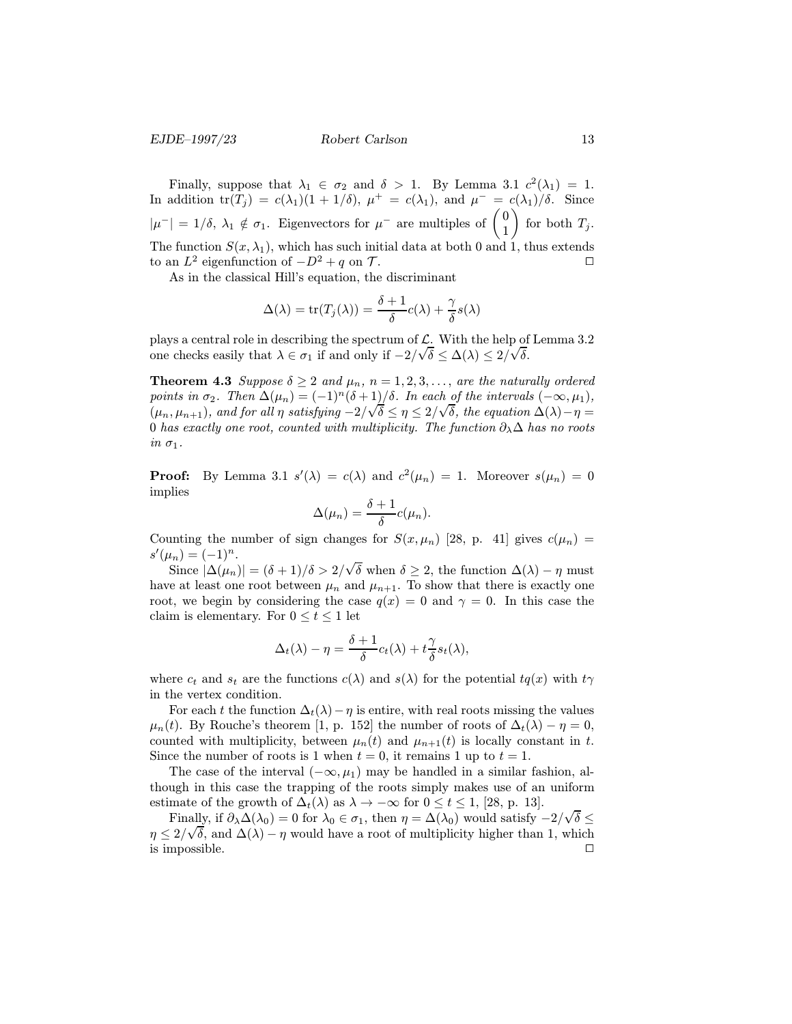Finally, suppose that  $\lambda_1 \in \sigma_2$  and  $\delta > 1$ . By Lemma 3.1  $c^2(\lambda_1) = 1$ . In addition  $tr(T_i) = c(\lambda_1)(1 + 1/\delta)$ ,  $\mu^+ = c(\lambda_1)$ , and  $\mu^- = c(\lambda_1)/\delta$ . Since  $|\mu^-| = 1/\delta$ ,  $\lambda_1 \notin \sigma_1$ . Eigenvectors for  $\mu^-$  are multiples of  $\begin{pmatrix} 0 \\ 1 \end{pmatrix}$ for both  $T_j$ . The function  $S(x, \lambda_1)$ , which has such initial data at both 0 and 1, thus extends to an  $L^2$  eigenfunction of  $-D^2 + q$  on  $\mathcal{T}$ .

As in the classical Hill's equation, the discriminant

$$
\Delta(\lambda) = \operatorname{tr}(T_j(\lambda)) = \frac{\delta + 1}{\delta}c(\lambda) + \frac{\gamma}{\delta}s(\lambda)
$$

plays a central role in describing the spectrum of  $\mathcal{L}$ . With the help of Lemma 3.2 one checks easily that  $\lambda \in \sigma_1$  if and only if  $-2/\sqrt{\delta} \leq \Delta(\lambda) \leq 2/\sqrt{\delta}$ .

**Theorem 4.3** Suppose  $\delta \geq 2$  and  $\mu_n$ ,  $n = 1, 2, 3, \ldots$ , are the naturally ordered points in  $\sigma_2$ . Then  $\Delta(\mu_n) = (-1)^n (\delta + 1)/\delta$ . In each of the intervals  $(-\infty, \mu_1)$ ,<br>(*w*, *w*) and fan all positioning  $2/\sqrt{5} \leq \alpha \leq 2/\sqrt{5}$ , the experies  $\Delta(1)$ , m  $(\mu_n, \mu_{n+1}),$  and for all  $\eta$  satisfying  $-2/\sqrt{\delta} \leq \eta \leq 2/\sqrt{\delta}$ , the equation  $\Delta(\lambda) - \eta = 0$  has exactly an exact equation  $\lambda$ . 0 has exactly one root, counted with multiplicity. The function  $\partial_{\lambda} \Delta$  has no roots in  $\sigma_1$ .

**Proof:** By Lemma 3.1  $s'(\lambda) = c(\lambda)$  and  $c^2(\mu_n) = 1$ . Moreover  $s(\mu_n) = 0$ implies

$$
\Delta(\mu_n) = \frac{\delta + 1}{\delta} c(\mu_n).
$$

Counting the number of sign changes for  $S(x, \mu_n)$  [28, p. 41] gives  $c(\mu_n)$  =  $s'(\mu_n) = (-1)^n.$ √

Since  $|\Delta(\mu_n)| = (\delta + 1)/\delta > 2/$ δ when  $\delta \geq 2$ , the function  $\Delta(\lambda) - \eta$  must have at least one root between  $\mu_n$  and  $\mu_{n+1}$ . To show that there is exactly one root, we begin by considering the case  $q(x) = 0$  and  $\gamma = 0$ . In this case the claim is elementary. For  $0 \le t \le 1$  let

$$
\Delta_t(\lambda) - \eta = \frac{\delta + 1}{\delta} c_t(\lambda) + t \frac{\gamma}{\delta} s_t(\lambda),
$$

where  $c_t$  and  $s_t$  are the functions  $c(\lambda)$  and  $s(\lambda)$  for the potential  $tq(x)$  with  $t\gamma$ in the vertex condition.

For each t the function  $\Delta_t(\lambda)-\eta$  is entire, with real roots missing the values  $\mu_n(t)$ . By Rouche's theorem [1, p. 152] the number of roots of  $\Delta_t(\lambda) - \eta = 0$ , counted with multiplicity, between  $\mu_n(t)$  and  $\mu_{n+1}(t)$  is locally constant in t. Since the number of roots is 1 when  $t = 0$ , it remains 1 up to  $t = 1$ .

The case of the interval  $(-\infty, \mu_1)$  may be handled in a similar fashion, although in this case the trapping of the roots simply makes use of an uniform estimate of the growth of  $\Delta_t(\lambda)$  as  $\lambda \to -\infty$  for  $0 \le t \le 1$ , [28, p. 13]. √

Finally, if  $\partial_{\lambda}\Delta(\lambda_0) = 0$  for  $\lambda_0 \in \sigma_1$ , then  $\eta = \Delta(\lambda_0)$  would satisfy  $-2/\sqrt{5}$  and  $\Delta(\lambda)$  is ground have a next of multiplicity bigher than 1, ally, if  $\partial_{\lambda} \Delta(\lambda_0) = 0$  for  $\lambda_0 \in \sigma_1$ , then  $\eta = \Delta(\lambda_0)$  would satisfy  $-2/\sqrt{\delta} \leq$  $\eta \leq 2/\sqrt{\delta}$ , and  $\Delta(\lambda) - \eta$  would have a root of multiplicity higher than 1, which is impossible.  $\Box$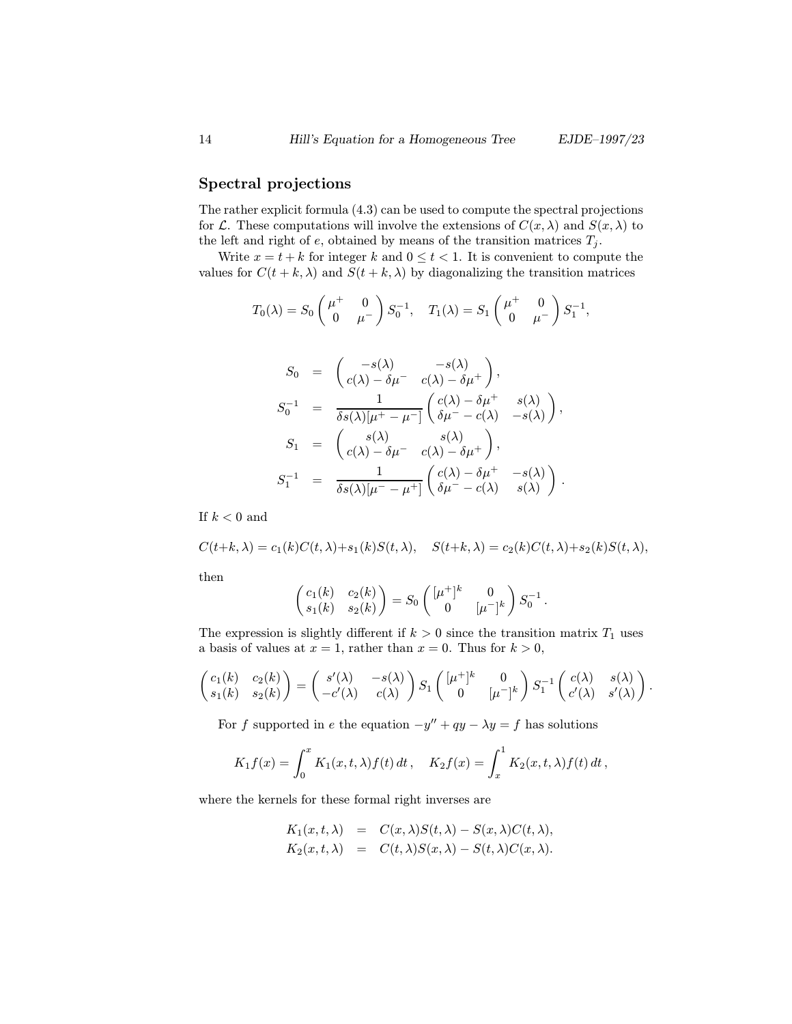#### Spectral projections

The rather explicit formula (4.3) can be used to compute the spectral projections for L. These computations will involve the extensions of  $C(x, \lambda)$  and  $S(x, \lambda)$  to the left and right of e, obtained by means of the transition matrices  $T_j$ .

Write  $x = t + k$  for integer k and  $0 \le t < 1$ . It is convenient to compute the values for  $C(t + k, \lambda)$  and  $S(t + k, \lambda)$  by diagonalizing the transition matrices

$$
T_0(\lambda) = S_0 \begin{pmatrix} \mu^+ & 0 \\ 0 & \mu^- \end{pmatrix} S_0^{-1}, \quad T_1(\lambda) = S_1 \begin{pmatrix} \mu^+ & 0 \\ 0 & \mu^- \end{pmatrix} S_1^{-1},
$$

$$
S_0 = \begin{pmatrix} -s(\lambda) & -s(\lambda) \\ c(\lambda) - \delta \mu^- & c(\lambda) - \delta \mu^+ \end{pmatrix},
$$
  
\n
$$
S_0^{-1} = \frac{1}{\delta s(\lambda)[\mu^+ - \mu^-]} \begin{pmatrix} c(\lambda) - \delta \mu^+ & s(\lambda) \\ \delta \mu^- - c(\lambda) & -s(\lambda) \end{pmatrix},
$$
  
\n
$$
S_1 = \begin{pmatrix} s(\lambda) & s(\lambda) \\ c(\lambda) - \delta \mu^- & c(\lambda) - \delta \mu^+ \end{pmatrix},
$$
  
\n
$$
S_1^{-1} = \frac{1}{\delta s(\lambda)[\mu^- - \mu^+]} \begin{pmatrix} c(\lambda) - \delta \mu^+ & -s(\lambda) \\ \delta \mu^- & c(\lambda) & s(\lambda) \end{pmatrix}.
$$

If  $k < 0$  and

$$
C(t+k,\lambda) = c_1(k)C(t,\lambda) + s_1(k)S(t,\lambda), \quad S(t+k,\lambda) = c_2(k)C(t,\lambda) + s_2(k)S(t,\lambda),
$$

then

$$
\begin{pmatrix} c_1(k) & c_2(k) \\ s_1(k) & s_2(k) \end{pmatrix} = S_0 \begin{pmatrix} [\mu^+]^k & 0 \\ 0 & [\mu^-]^k \end{pmatrix} S_0^{-1}.
$$

The expression is slightly different if  $k > 0$  since the transition matrix  $T_1$  uses a basis of values at  $x = 1$ , rather than  $x = 0$ . Thus for  $k > 0$ ,

$$
\begin{pmatrix} c_1(k) & c_2(k) \\ s_1(k) & s_2(k) \end{pmatrix} = \begin{pmatrix} s'(\lambda) & -s(\lambda) \\ -c'(\lambda) & c(\lambda) \end{pmatrix} S_1 \begin{pmatrix} [\mu^+]^k & 0 \\ 0 & [\mu^-]^k \end{pmatrix} S_1^{-1} \begin{pmatrix} c(\lambda) & s(\lambda) \\ c'(\lambda) & s'(\lambda) \end{pmatrix}.
$$

For f supported in e the equation  $-y'' + qy - \lambda y = f$  has solutions

$$
K_1 f(x) = \int_0^x K_1(x, t, \lambda) f(t) dt, \quad K_2 f(x) = \int_x^1 K_2(x, t, \lambda) f(t) dt,
$$

where the kernels for these formal right inverses are

$$
K_1(x, t, \lambda) = C(x, \lambda)S(t, \lambda) - S(x, \lambda)C(t, \lambda),
$$
  
\n
$$
K_2(x, t, \lambda) = C(t, \lambda)S(x, \lambda) - S(t, \lambda)C(x, \lambda).
$$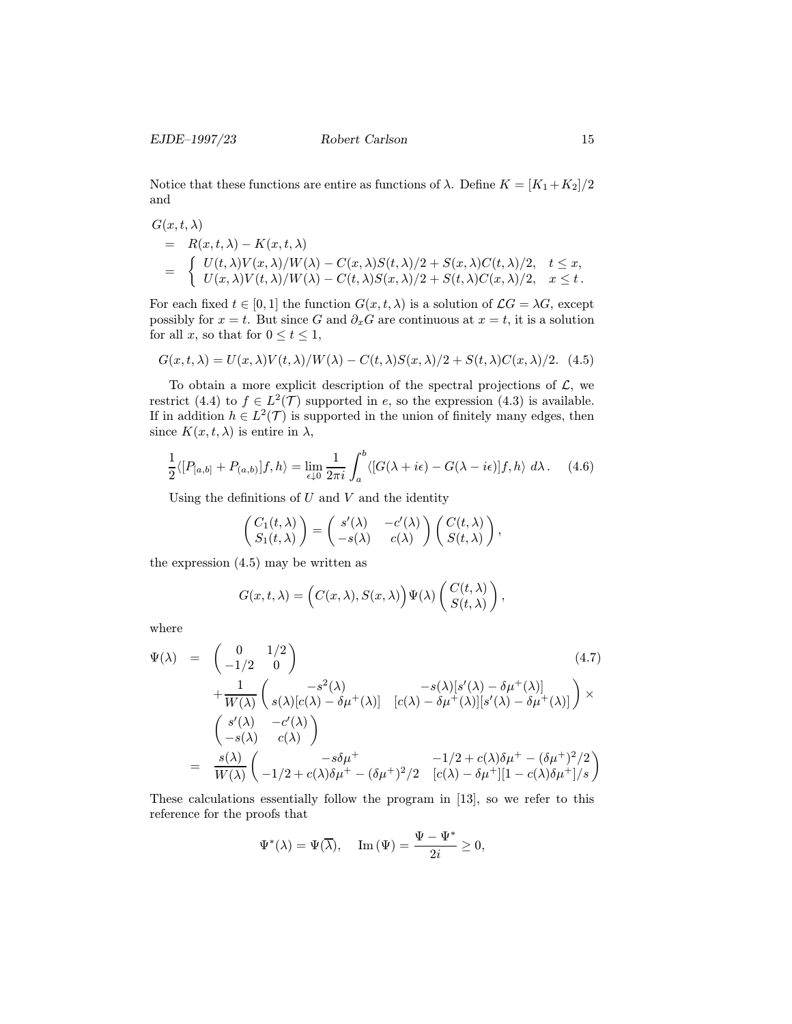Notice that these functions are entire as functions of  $\lambda$ . Define  $K = [K_1 + K_2]/2$ and

$$
G(x, t, \lambda)
$$
  
=  $R(x, t, \lambda) - K(x, t, \lambda)$   
= 
$$
\begin{cases} U(t, \lambda) V(x, \lambda) / W(\lambda) - C(x, \lambda) S(t, \lambda) / 2 + S(x, \lambda) C(t, \lambda) / 2, & t \leq x, \\ U(x, \lambda) V(t, \lambda) / W(\lambda) - C(t, \lambda) S(x, \lambda) / 2 + S(t, \lambda) C(x, \lambda) / 2, & x \leq t. \end{cases}
$$

For each fixed  $t \in [0,1]$  the function  $G(x,t,\lambda)$  is a solution of  $\mathcal{L}G = \lambda G$ , except possibly for  $x = t$ . But since G and  $\partial_x G$  are continuous at  $x = t$ , it is a solution for all x, so that for  $0 \le t \le 1$ ,

$$
G(x,t,\lambda) = U(x,\lambda)V(t,\lambda)/W(\lambda) - C(t,\lambda)S(x,\lambda)/2 + S(t,\lambda)C(x,\lambda)/2. \tag{4.5}
$$

To obtain a more explicit description of the spectral projections of  $\mathcal{L}$ , we restrict (4.4) to  $f \in L^2(\mathcal{T})$  supported in e, so the expression (4.3) is available. If in addition  $h \in L^2(\mathcal{T})$  is supported in the union of finitely many edges, then since  $K(x, t, \lambda)$  is entire in  $\lambda$ ,

$$
\frac{1}{2}\langle [P_{[a,b]} + P_{(a,b)}]f, h \rangle = \lim_{\epsilon \downarrow 0} \frac{1}{2\pi i} \int_a^b \langle [G(\lambda + i\epsilon) - G(\lambda - i\epsilon)]f, h \rangle \ d\lambda. \tag{4.6}
$$

Using the definitions of  $U$  and  $V$  and the identity

$$
\begin{pmatrix} C_1(t,\lambda) \\ S_1(t,\lambda) \end{pmatrix} = \begin{pmatrix} s'(\lambda) & -c'(\lambda) \\ -s(\lambda) & c(\lambda) \end{pmatrix} \begin{pmatrix} C(t,\lambda) \\ S(t,\lambda) \end{pmatrix},
$$

the expression (4.5) may be written as

$$
G(x, t, \lambda) = \left( C(x, \lambda), S(x, \lambda) \right) \Psi(\lambda) \begin{pmatrix} C(t, \lambda) \\ S(t, \lambda) \end{pmatrix},
$$

where

$$
\Psi(\lambda) = \begin{pmatrix} 0 & 1/2 \\ -1/2 & 0 \end{pmatrix}
$$
\n
$$
+ \frac{1}{W(\lambda)} \begin{pmatrix} -s^2(\lambda) & -s(\lambda)[s'(\lambda) - \delta \mu^+(\lambda)] \\ s(\lambda)[c(\lambda) - \delta \mu^+(\lambda)] & [c(\lambda) - \delta \mu^+(\lambda)][s'(\lambda) - \delta \mu^+(\lambda)] \end{pmatrix} \times
$$
\n
$$
= \frac{s'(\lambda)}{W(\lambda)} \begin{pmatrix} -c'(\lambda) & -\delta \mu^+ & -1/2 + c(\lambda)\delta \mu^+ - (\delta \mu^+)^2/2 \\ -1/2 + c(\lambda)\delta \mu^+ - (\delta \mu^+)^2/2 & [c(\lambda) - \delta \mu^+][1 - c(\lambda)\delta \mu^+]/s \end{pmatrix}
$$
\n(4.7)

These calculations essentially follow the program in [13], so we refer to this reference for the proofs that

$$
\Psi^*(\lambda) = \Psi(\overline{\lambda}), \quad \text{Im}(\Psi) = \frac{\Psi - \Psi^*}{2i} \ge 0,
$$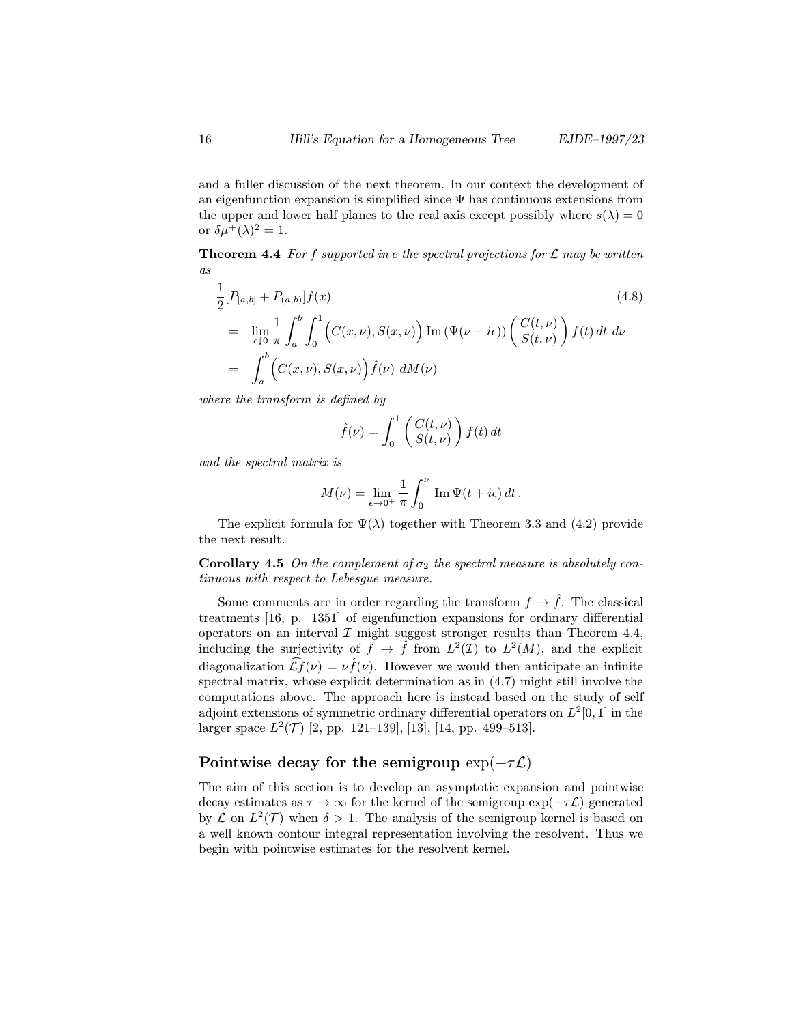and a fuller discussion of the next theorem. In our context the development of an eigenfunction expansion is simplified since  $\Psi$  has continuous extensions from the upper and lower half planes to the real axis except possibly where  $s(\lambda)=0$ or  $\delta \mu^+ (\lambda)^2 = 1$ .

**Theorem 4.4** For f supported in e the spectral projections for  $\mathcal{L}$  may be written as

$$
\frac{1}{2}[P_{[a,b]} + P_{(a,b)}]f(x)
$$
\n
$$
= \lim_{\epsilon \downarrow 0} \frac{1}{\pi} \int_a^b \int_0^1 \left( C(x,\nu), S(x,\nu) \right) \text{Im} \left( \Psi(\nu + i\epsilon) \right) \begin{pmatrix} C(t,\nu) \\ S(t,\nu) \end{pmatrix} f(t) dt d\nu
$$
\n
$$
= \int_a^b \left( C(x,\nu), S(x,\nu) \right) \hat{f}(\nu) dM(\nu)
$$
\n(4.8)

where the transform is defined by

$$
\hat{f}(\nu) = \int_0^1 \begin{pmatrix} C(t,\nu) \\ S(t,\nu) \end{pmatrix} f(t) dt
$$

and the spectral matrix is

$$
M(\nu) = \lim_{\epsilon \to 0^+} \frac{1}{\pi} \int_0^{\nu} \operatorname{Im} \Psi(t + i\epsilon) dt.
$$

The explicit formula for  $\Psi(\lambda)$  together with Theorem 3.3 and (4.2) provide the next result.

**Corollary 4.5** On the complement of  $\sigma_2$  the spectral measure is absolutely continuous with respect to Lebesgue measure.

Some comments are in order regarding the transform  $f \to \hat{f}$ . The classical treatments [16, p. 1351] of eigenfunction expansions for ordinary differential operators on an interval  $\mathcal I$  might suggest stronger results than Theorem 4.4, including the surjectivity of  $f \to \hat{f}$  from  $L^2(\mathcal{I})$  to  $L^2(M)$ , and the explicit diagonalization  $\widehat{Lf}(\nu) = \nu \widehat{f}(\nu)$ . However we would then anticipate an infinite spectral matrix, whose explicit determination as in (4.7) might still involve the computations above. The approach here is instead based on the study of self adjoint extensions of symmetric ordinary differential operators on  $L^2[0, 1]$  in the larger space  $L^2(\mathcal{T})$  [2, pp. 121–139], [13], [14, pp. 499–513].

#### Pointwise decay for the semigroup  $exp(-\tau \mathcal{L})$

The aim of this section is to develop an asymptotic expansion and pointwise decay estimates as  $\tau \to \infty$  for the kernel of the semigroup  $\exp(-\tau \mathcal{L})$  generated by  $\mathcal L$  on  $L^2(\mathcal T)$  when  $\delta > 1$ . The analysis of the semigroup kernel is based on a well known contour integral representation involving the resolvent. Thus we begin with pointwise estimates for the resolvent kernel.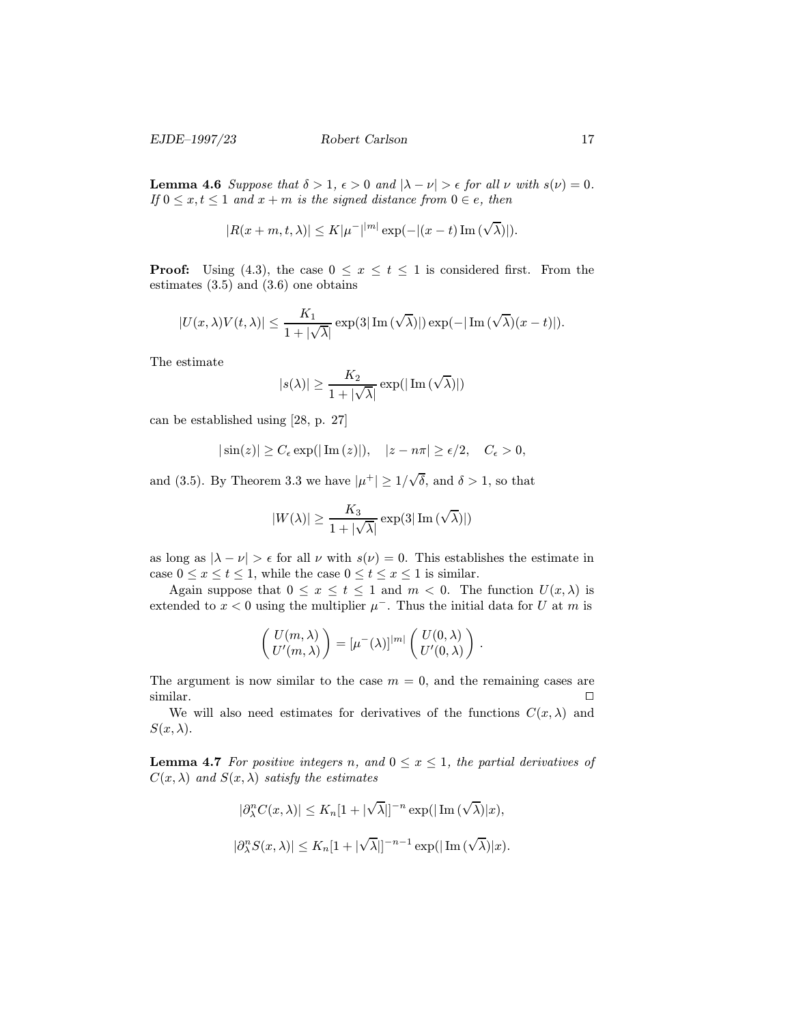**Lemma 4.6** Suppose that  $\delta > 1$ ,  $\epsilon > 0$  and  $|\lambda - \nu| > \epsilon$  for all  $\nu$  with  $s(\nu) = 0$ . If  $0 \leq x, t \leq 1$  and  $x + m$  is the signed distance from  $0 \in e$ , then

$$
|R(x+m,t,\lambda)| \leq K|\mu^-|^{|m|}\exp(-|(x-t)\operatorname{Im}(\sqrt{\lambda})|).
$$

**Proof:** Using (4.3), the case  $0 \le x \le t \le 1$  is considered first. From the estimates (3.5) and (3.6) one obtains

$$
|U(x,\lambda)V(t,\lambda)| \leq \frac{K_1}{1+|\sqrt{\lambda}|} \exp(3|\operatorname{Im}(\sqrt{\lambda})|) \exp(-|\operatorname{Im}(\sqrt{\lambda})(x-t)|).
$$

The estimate

$$
|s(\lambda)| \geq \frac{K_2}{1+|\sqrt{\lambda}|} \exp(|\operatorname{Im}(\sqrt{\lambda})|)
$$

can be established using [28, p. 27]

$$
|\sin(z)| \ge C_{\epsilon} \exp(|\operatorname{Im}(z)|), \quad |z - n\pi| \ge \epsilon/2, \quad C_{\epsilon} > 0,
$$

and (3.5). By Theorem 3.3 we have  $|\mu^+| \geq 1/\sqrt{2}$  $\delta$ , and  $\delta > 1$ , so that

$$
|W(\lambda)| \geq \frac{K_3}{1+|\sqrt{\lambda}|} \exp(3|\operatorname{Im}(\sqrt{\lambda})|)
$$

as long as  $|\lambda - \nu| > \epsilon$  for all  $\nu$  with  $s(\nu) = 0$ . This establishes the estimate in case  $0 \le x \le t \le 1$ , while the case  $0 \le t \le x \le 1$  is similar.

Again suppose that  $0 \le x \le t \le 1$  and  $m < 0$ . The function  $U(x, \lambda)$  is extended to  $x < 0$  using the multiplier  $\mu^-$ . Thus the initial data for U at m is

$$
\begin{pmatrix} U(m,\lambda) \\ U'(m,\lambda) \end{pmatrix} = [\mu^-(\lambda)]^{|m|} \begin{pmatrix} U(0,\lambda) \\ U'(0,\lambda) \end{pmatrix}.
$$

The argument is now similar to the case  $m = 0$ , and the remaining cases are similar.  $\Box$ 

We will also need estimates for derivatives of the functions  $C(x, \lambda)$  and  $S(x, \lambda)$ .

**Lemma 4.7** For positive integers n, and  $0 \leq x \leq 1$ , the partial derivatives of  $C(x, \lambda)$  and  $S(x, \lambda)$  satisfy the estimates

$$
|\partial_{\lambda}^{n}C(x,\lambda)| \leq K_{n}[1+|\sqrt{\lambda}|]^{-n} \exp(|\operatorname{Im}(\sqrt{\lambda})|x),
$$
  

$$
|\partial_{\lambda}^{n}S(x,\lambda)| \leq K_{n}[1+|\sqrt{\lambda}|]^{-n-1} \exp(|\operatorname{Im}(\sqrt{\lambda})|x).
$$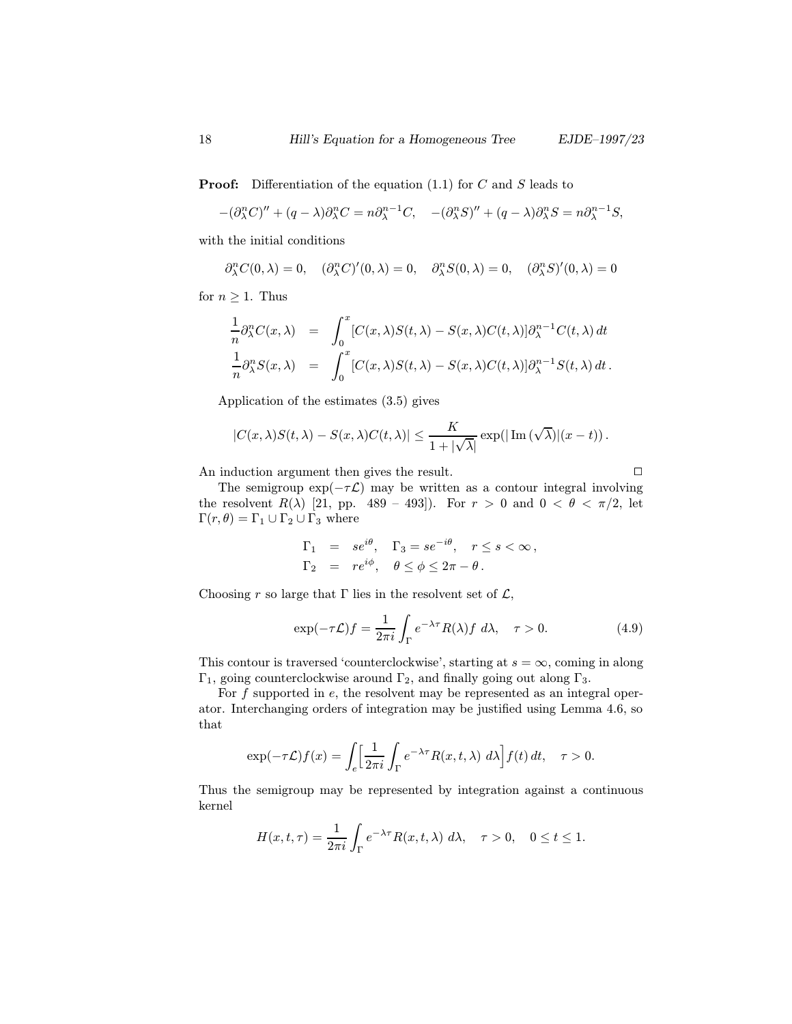**Proof:** Differentiation of the equation  $(1.1)$  for C and S leads to

$$
-(\partial_{\lambda}^{n} C)^{\prime\prime} + (q - \lambda)\partial_{\lambda}^{n} C = n \partial_{\lambda}^{n-1} C, \quad -(\partial_{\lambda}^{n} S)^{\prime\prime} + (q - \lambda)\partial_{\lambda}^{n} S = n \partial_{\lambda}^{n-1} S,
$$

with the initial conditions

 $\partial_{\lambda}^{n}C(0,\lambda) = 0, \quad (\partial_{\lambda}^{n}C)'(0,\lambda) = 0, \quad \partial_{\lambda}^{n}S(0,\lambda) = 0, \quad (\partial_{\lambda}^{n}S)'(0,\lambda) = 0$ 

for  $n \geq 1$ . Thus

$$
\frac{1}{n}\partial_{\lambda}^{n}C(x,\lambda) = \int_{0}^{x} [C(x,\lambda)S(t,\lambda) - S(x,\lambda)C(t,\lambda)]\partial_{\lambda}^{n-1}C(t,\lambda) dt
$$
  

$$
\frac{1}{n}\partial_{\lambda}^{n}S(x,\lambda) = \int_{0}^{x} [C(x,\lambda)S(t,\lambda) - S(x,\lambda)C(t,\lambda)]\partial_{\lambda}^{n-1}S(t,\lambda) dt.
$$

Application of the estimates (3.5) gives

$$
|C(x,\lambda)S(t,\lambda) - S(x,\lambda)C(t,\lambda)| \leq \frac{K}{1+|\sqrt{\lambda}|} \exp(|\operatorname{Im}(\sqrt{\lambda})|(x-t)).
$$

An induction argument then gives the result.  $\Box$ 

The semigroup 
$$
\exp(-\tau \mathcal{L})
$$
 may be written as a contour integral involving  
the resolvent  $R(\lambda)$  [21, pp. 489 – 493]). For  $r > 0$  and  $0 < \theta < \pi/2$ , let  
 $\Gamma(r, \theta) = \Gamma_1 \cup \Gamma_2 \cup \Gamma_3$  where

$$
\Gamma_1 = se^{i\theta}, \quad \Gamma_3 = se^{-i\theta}, \quad r \le s < \infty,
$$
  

$$
\Gamma_2 = re^{i\phi}, \quad \theta \le \phi \le 2\pi - \theta.
$$

Choosing r so large that  $\Gamma$  lies in the resolvent set of  $\mathcal{L}$ ,

$$
\exp(-\tau \mathcal{L})f = \frac{1}{2\pi i} \int_{\Gamma} e^{-\lambda \tau} R(\lambda) f \, d\lambda, \quad \tau > 0. \tag{4.9}
$$

This contour is traversed 'counterclockwise', starting at  $s = \infty$ , coming in along Γ<sub>1</sub>, going counterclockwise around Γ<sub>2</sub>, and finally going out along Γ<sub>3</sub>.

For  $f$  supported in  $e$ , the resolvent may be represented as an integral operator. Interchanging orders of integration may be justified using Lemma 4.6, so that

$$
\exp(-\tau \mathcal{L})f(x) = \int_{e} \left[ \frac{1}{2\pi i} \int_{\Gamma} e^{-\lambda \tau} R(x, t, \lambda) \ d\lambda \right] f(t) \, dt, \quad \tau > 0.
$$

Thus the semigroup may be represented by integration against a continuous kernel

$$
H(x,t,\tau) = \frac{1}{2\pi i} \int_{\Gamma} e^{-\lambda \tau} R(x,t,\lambda) \, d\lambda, \quad \tau > 0, \quad 0 \le t \le 1.
$$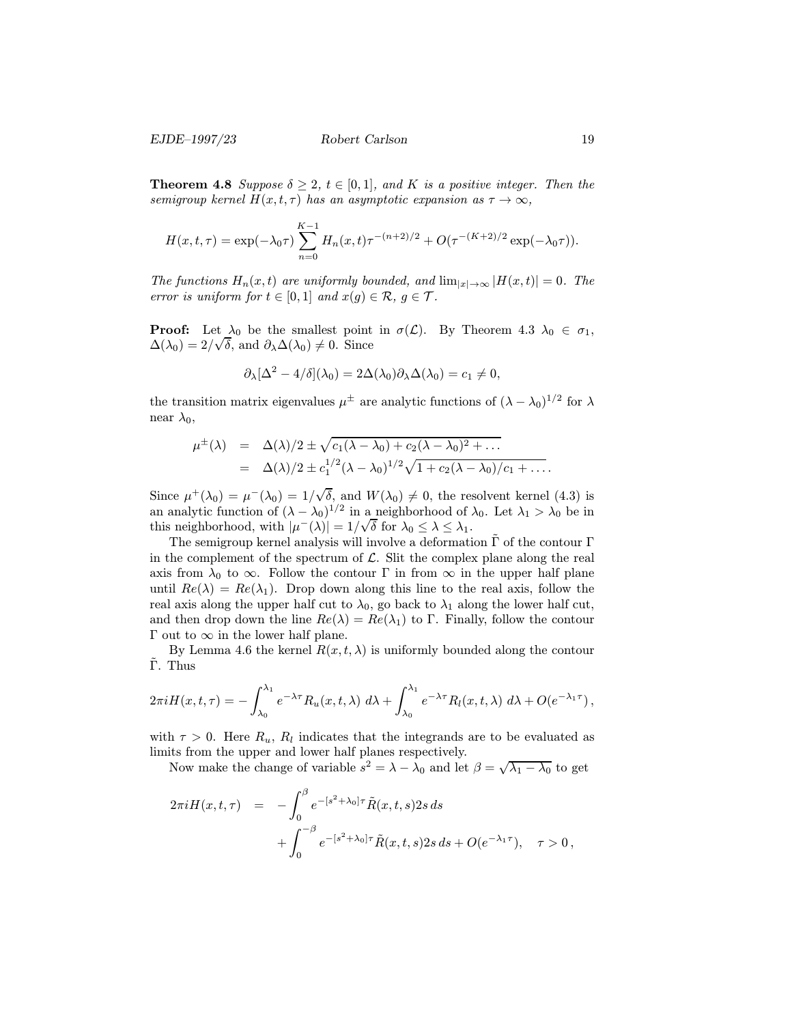**Theorem 4.8** Suppose  $\delta \geq 2$ ,  $t \in [0,1]$ , and K is a positive integer. Then the semigroup kernel  $H(x, t, \tau)$  has an asymptotic expansion as  $\tau \to \infty$ ,

$$
H(x,t,\tau) = \exp(-\lambda_0 \tau) \sum_{n=0}^{K-1} H_n(x,t) \tau^{-(n+2)/2} + O(\tau^{-(K+2)/2} \exp(-\lambda_0 \tau)).
$$

The functions  $H_n(x,t)$  are uniformly bounded, and  $\lim_{|x|\to\infty} |H(x,t)| = 0$ . The error is uniform for  $t \in [0,1]$  and  $x(g) \in \mathcal{R}, g \in \mathcal{T}$ .

**Proof:** Let  $\lambda_0$  be the smallest point in  $\sigma(\mathcal{L})$ . By Theorem 4.3  $\lambda_0 \in \sigma_1$ ,  $\Delta(\lambda_0) = 2/\sqrt{\delta}$ , and  $\partial_{\lambda} \Delta(\lambda_0) \neq 0$ . Since

$$
\partial_{\lambda}[\Delta^2 - 4/\delta](\lambda_0) = 2\Delta(\lambda_0)\partial_{\lambda}\Delta(\lambda_0) = c_1 \neq 0,
$$

the transition matrix eigenvalues  $\mu^{\pm}$  are analytic functions of  $(\lambda - \lambda_0)^{1/2}$  for  $\lambda$ near  $\lambda_0$ ,

$$
\mu^{\pm}(\lambda) = \Delta(\lambda)/2 \pm \sqrt{c_1(\lambda - \lambda_0) + c_2(\lambda - \lambda_0)^2 + \dots}
$$
  
= 
$$
\Delta(\lambda)/2 \pm c_1^{1/2}(\lambda - \lambda_0)^{1/2} \sqrt{1 + c_2(\lambda - \lambda_0)/c_1 + \dots}
$$

Since  $\mu^+(\lambda_0) = \mu^-(\lambda_0) = 1/\sqrt{2}$ δ, and  $W(\lambda_0) \neq 0$ , the resolvent kernel (4.3) is an analytic function of  $(\lambda - \lambda_0)^{1/2}$  in a neighborhood of  $\lambda_0$ . Let  $\lambda_1 > \lambda_0$  be in this neighborhood, with  $|\mu^-(\lambda)| = 1/\sqrt{\delta}$  for  $\lambda_0 \leq \lambda \leq \lambda_1$ .

The semigroup kernel analysis will involve a deformation  $\tilde{\Gamma}$  of the contour  $\Gamma$ in the complement of the spectrum of  $\mathcal{L}$ . Slit the complex plane along the real axis from  $\lambda_0$  to  $\infty$ . Follow the contour  $\Gamma$  in from  $\infty$  in the upper half plane until  $Re(\lambda) = Re(\lambda_1)$ . Drop down along this line to the real axis, follow the real axis along the upper half cut to  $\lambda_0$ , go back to  $\lambda_1$  along the lower half cut, and then drop down the line  $Re(\lambda) = Re(\lambda_1)$  to Γ. Finally, follow the contour Γ out to  $\infty$  in the lower half plane.

By Lemma 4.6 the kernel  $R(x, t, \lambda)$  is uniformly bounded along the contour Γ. Thus

$$
2\pi i H(x,t,\tau) = -\int_{\lambda_0}^{\lambda_1} e^{-\lambda \tau} R_u(x,t,\lambda) \ d\lambda + \int_{\lambda_0}^{\lambda_1} e^{-\lambda \tau} R_l(x,t,\lambda) \ d\lambda + O(e^{-\lambda_1 \tau}),
$$

with  $\tau > 0$ . Here  $R_u$ ,  $R_l$  indicates that the integrands are to be evaluated as limits from the upper and lower half planes respectively.

Now make the change of variable  $s^2 = \lambda - \lambda_0$  and let  $\beta = \sqrt{\lambda_1 - \lambda_0}$  to get

$$
2\pi i H(x, t, \tau) = -\int_0^{\beta} e^{-[s^2 + \lambda_0]\tau} \tilde{R}(x, t, s) 2s ds + \int_0^{-\beta} e^{-[s^2 + \lambda_0]\tau} \tilde{R}(x, t, s) 2s ds + O(e^{-\lambda_1 \tau}), \quad \tau > 0,
$$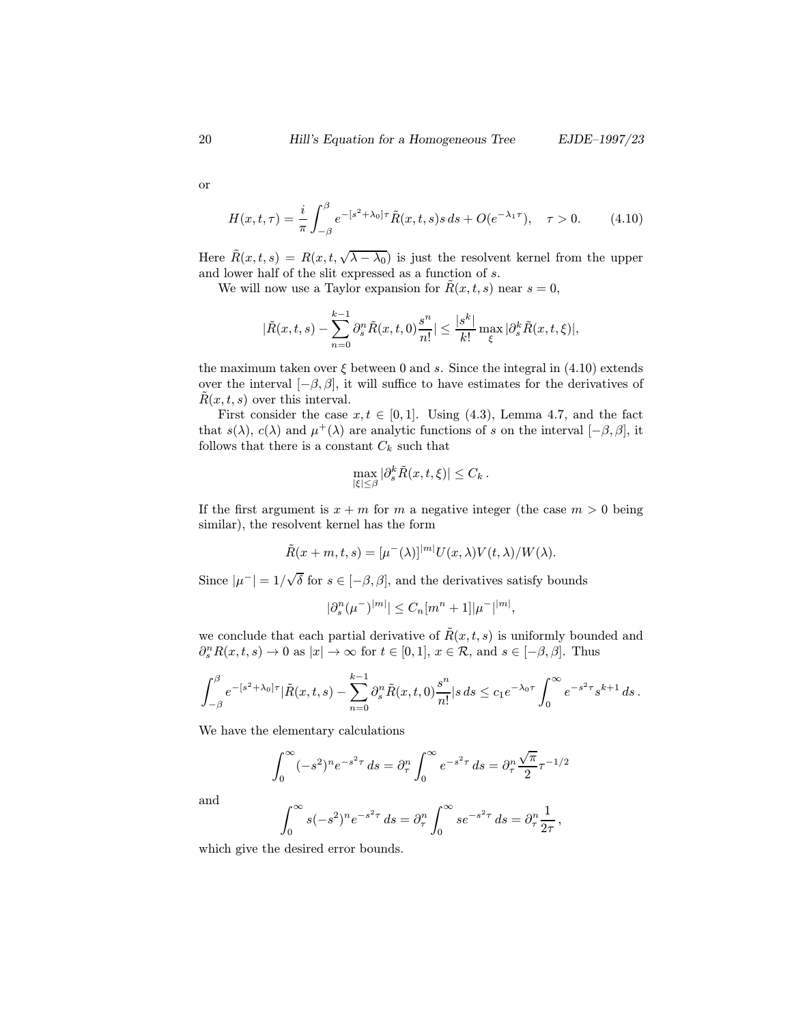or

$$
H(x,t,\tau) = \frac{i}{\pi} \int_{-\beta}^{\beta} e^{-[s^2 + \lambda_0]\tau} \tilde{R}(x,t,s)s \, ds + O(e^{-\lambda_1 \tau}), \quad \tau > 0. \tag{4.10}
$$

Here  $\tilde{R}(x, t, s) = R(x, t, \sqrt{\lambda - \lambda_0})$  is just the resolvent kernel from the upper and lower half of the slit expressed as a function of s.

We will now use a Taylor expansion for  $\tilde{R}(x, t, s)$  near  $s = 0$ ,

$$
|\tilde{R}(x,t,s) - \sum_{n=0}^{k-1} \partial_s^n \tilde{R}(x,t,0) \frac{s^n}{n!}| \le \frac{|s^k|}{k!} \max_{\xi} |\partial_s^k \tilde{R}(x,t,\xi)|,
$$

the maximum taken over  $\xi$  between 0 and s. Since the integral in (4.10) extends over the interval  $[-\beta, \beta]$ , it will suffice to have estimates for the derivatives of  $R(x, t, s)$  over this interval.

First consider the case  $x, t \in [0, 1]$ . Using (4.3), Lemma 4.7, and the fact that  $s(\lambda)$ ,  $c(\lambda)$  and  $\mu^+(\lambda)$  are analytic functions of s on the interval  $[-\beta, \beta]$ , it follows that there is a constant  $C_k$  such that

$$
\max_{|\xi| \leq \beta} |\partial_s^k \tilde{R}(x, t, \xi)| \leq C_k.
$$

If the first argument is  $x + m$  for m a negative integer (the case  $m > 0$  being similar), the resolvent kernel has the form

$$
\dot{R}(x+m,t,s) = [\mu^-(\lambda)]^{|m|} U(x,\lambda) V(t,\lambda) / W(\lambda).
$$

Since  $|\mu^-| = 1/\sqrt{ }$ δ for  $s ∈ [-β, β]$ , and the derivatives satisfy bounds

$$
|\partial_s^n(\mu^-)^{|m|}| \le C_n [m^n + 1] |\mu^-|^{|m|},
$$

we conclude that each partial derivative of  $\tilde{R}(x, t, s)$  is uniformly bounded and  $\partial_s^n R(x,t,s) \to 0$  as  $|x| \to \infty$  for  $t \in [0,1], x \in \mathcal{R}$ , and  $s \in [-\beta, \beta]$ . Thus

$$
\int_{-\beta}^{\beta} e^{-[s^2+\lambda_0]\tau} |\tilde{R}(x,t,s) - \sum_{n=0}^{k-1} \partial_s^n \tilde{R}(x,t,0) \frac{s^n}{n!} |s ds \leq c_1 e^{-\lambda_0 \tau} \int_0^{\infty} e^{-s^2 \tau} s^{k+1} ds.
$$

We have the elementary calculations

$$
\int_0^{\infty} (-s^2)^n e^{-s^2 \tau} ds = \partial_{\tau}^n \int_0^{\infty} e^{-s^2 \tau} ds = \partial_{\tau}^n \frac{\sqrt{\pi}}{2} \tau^{-1/2}
$$

and

$$
\int_0^{\infty} s(-s^2)^n e^{-s^2 \tau} ds = \partial_{\tau}^n \int_0^{\infty} s e^{-s^2 \tau} ds = \partial_{\tau}^n \frac{1}{2\tau},
$$

which give the desired error bounds.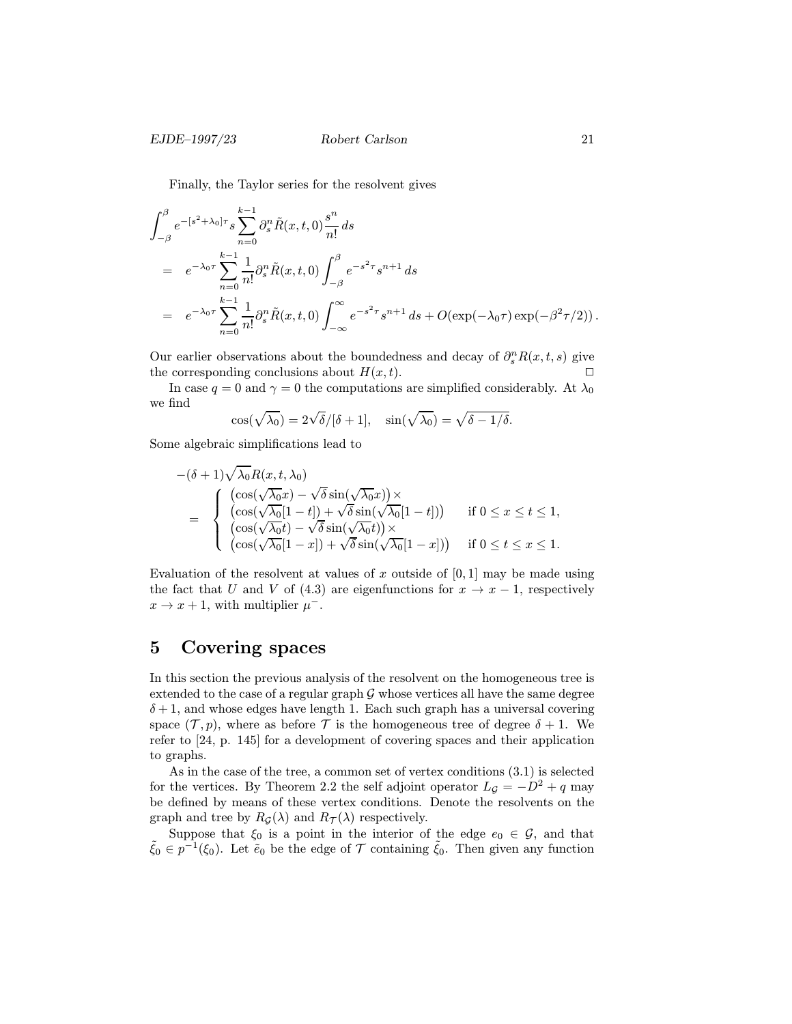Finally, the Taylor series for the resolvent gives

$$
\int_{-\beta}^{\beta} e^{-[s^2+\lambda_0]\tau} s \sum_{n=0}^{k-1} \partial_s^n \tilde{R}(x, t, 0) \frac{s^n}{n!} ds
$$
  
=  $e^{-\lambda_0 \tau} \sum_{n=0}^{k-1} \frac{1}{n!} \partial_s^n \tilde{R}(x, t, 0) \int_{-\beta}^{\beta} e^{-s^2 \tau} s^{n+1} ds$   
=  $e^{-\lambda_0 \tau} \sum_{n=0}^{k-1} \frac{1}{n!} \partial_s^n \tilde{R}(x, t, 0) \int_{-\infty}^{\infty} e^{-s^2 \tau} s^{n+1} ds + O(\exp(-\lambda_0 \tau) \exp(-\beta^2 \tau/2)).$ 

Our earlier observations about the boundedness and decay of  $\partial_s^n R(x,t,s)$  give<br>the corresponding conclusions about  $H(x,t)$ the corresponding conclusions about  $H(x, t)$ .

In case  $q = 0$  and  $\gamma = 0$  the computations are simplified considerably. At  $\lambda_0$ we find

$$
\cos(\sqrt{\lambda_0}) = 2\sqrt{\delta}/[\delta+1], \quad \sin(\sqrt{\lambda_0}) = \sqrt{\delta-1/\delta}.
$$

Some algebraic simplifications lead to

$$
-(\delta+1)\sqrt{\lambda_0}R(x,t,\lambda_0)
$$
  
=\begin{cases} (\cos(\sqrt{\lambda\_0}x)-\sqrt{\delta}\sin(\sqrt{\lambda\_0}x)) \times \\ (\cos(\sqrt{\lambda\_0}[1-t])+\sqrt{\delta}\sin(\sqrt{\lambda\_0}[1-t])) & \text{if } 0 \le x \le t \le 1, \\ (\cos(\sqrt{\lambda\_0}t)-\sqrt{\delta}\sin(\sqrt{\lambda\_0}t)) \times \\ (\cos(\sqrt{\lambda\_0}[1-x])+\sqrt{\delta}\sin(\sqrt{\lambda\_0}[1-x])) & \text{if } 0 \le t \le x \le 1. \end{cases}

Evaluation of the resolvent at values of x outside of  $[0, 1]$  may be made using the fact that U and V of (4.3) are eigenfunctions for  $x \to x - 1$ , respectively  $x \to x + 1$ , with multiplier  $\mu^-$ .

### 5 Covering spaces

In this section the previous analysis of the resolvent on the homogeneous tree is extended to the case of a regular graph  $G$  whose vertices all have the same degree  $\delta + 1$ , and whose edges have length 1. Each such graph has a universal covering space  $(\mathcal{T}, p)$ , where as before  $\mathcal T$  is the homogeneous tree of degree  $\delta + 1$ . We refer to [24, p. 145] for a development of covering spaces and their application to graphs.

As in the case of the tree, a common set of vertex conditions (3.1) is selected for the vertices. By Theorem 2.2 the self adjoint operator  $L_g = -D^2 + q$  may be defined by means of these vertex conditions. Denote the resolvents on the graph and tree by  $R_{\mathcal{G}}(\lambda)$  and  $R_{\mathcal{T}}(\lambda)$  respectively.

Suppose that  $\xi_0$  is a point in the interior of the edge  $e_0 \in \mathcal{G}$ , and that  $\tilde{\xi}_0 \in p^{-1}(\xi_0)$ . Let  $\tilde{e}_0$  be the edge of  $\mathcal{T}$  containing  $\tilde{\xi}_0$ . Then given any function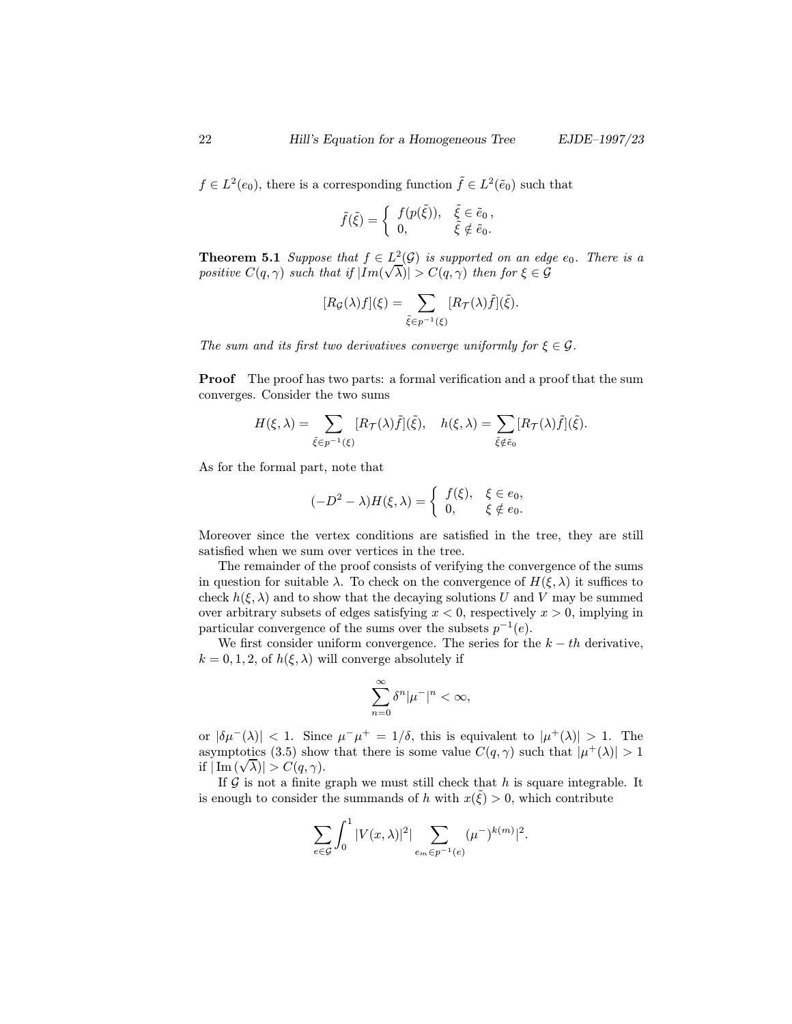$f \in L^2(e_0)$ , there is a corresponding function  $\tilde{f} \in L^2(\tilde{e}_0)$  such that

$$
\tilde{f}(\tilde{\xi}) = \begin{cases} f(p(\tilde{\xi})), & \tilde{\xi} \in \tilde{e}_0, \\ 0, & \tilde{\xi} \notin \tilde{e}_0. \end{cases}
$$

**Theorem 5.1** Suppose that  $f \in L^2(\mathcal{G})$  is supported on an edge  $e_0$ . There is a positive  $C(q, \gamma)$  such that if  $|Im(\sqrt{\lambda})| > C(q, \gamma)$  then for  $\xi \in \mathcal{G}$ 

$$
[R_{\mathcal{G}}(\lambda)f](\xi) = \sum_{\tilde{\xi} \in p^{-1}(\xi)} [R_{\mathcal{T}}(\lambda)\tilde{f}](\tilde{\xi}).
$$

The sum and its first two derivatives converge uniformly for  $\xi \in \mathcal{G}$ .

Proof The proof has two parts: a formal verification and a proof that the sum converges. Consider the two sums

$$
H(\xi,\lambda)=\sum_{\tilde{\xi}\in p^{-1}(\xi)}[R_{\mathcal{T}}(\lambda)\tilde{f}](\tilde{\xi}),\quad h(\xi,\lambda)=\sum_{\tilde{\xi}\notin\tilde{e}_0}[R_{\mathcal{T}}(\lambda)\tilde{f}](\tilde{\xi}).
$$

As for the formal part, note that

$$
(-D^2 - \lambda)H(\xi, \lambda) = \begin{cases} f(\xi), & \xi \in e_0, \\ 0, & \xi \notin e_0. \end{cases}
$$

Moreover since the vertex conditions are satisfied in the tree, they are still satisfied when we sum over vertices in the tree.

The remainder of the proof consists of verifying the convergence of the sums in question for suitable  $\lambda$ . To check on the convergence of  $H(\xi, \lambda)$  it suffices to check  $h(\xi, \lambda)$  and to show that the decaying solutions U and V may be summed over arbitrary subsets of edges satisfying  $x < 0$ , respectively  $x > 0$ , implying in particular convergence of the sums over the subsets  $p^{-1}(e)$ .

We first consider uniform convergence. The series for the  $k - th$  derivative,  $k = 0, 1, 2$ , of  $h(\xi, \lambda)$  will converge absolutely if

$$
\sum_{n=0}^{\infty} \delta^n |\mu^-|^n < \infty,
$$

or  $|\delta\mu(\lambda)| < 1$ . Since  $\mu(\mu^+ = 1/\delta)$ , this is equivalent to  $|\mu^+(\lambda)| > 1$ . The asymptotics (3.5) show that there is some value  $C(q, \gamma)$  such that  $|\mu^+(\lambda)| > 1$ asymptotics (3.5) show<br>if  $|\operatorname{Im} (\sqrt{\lambda})| > C(q,\gamma)$ .

If  $G$  is not a finite graph we must still check that  $h$  is square integrable. It is enough to consider the summands of h with  $x(\tilde{\xi}) > 0$ , which contribute

$$
\sum_{e \in \mathcal{G}} \int_0^1 |V(x,\lambda)|^2 \, \sum_{e_m \in p^{-1}(e)} (\mu^{-})^{k(m)}|^2.
$$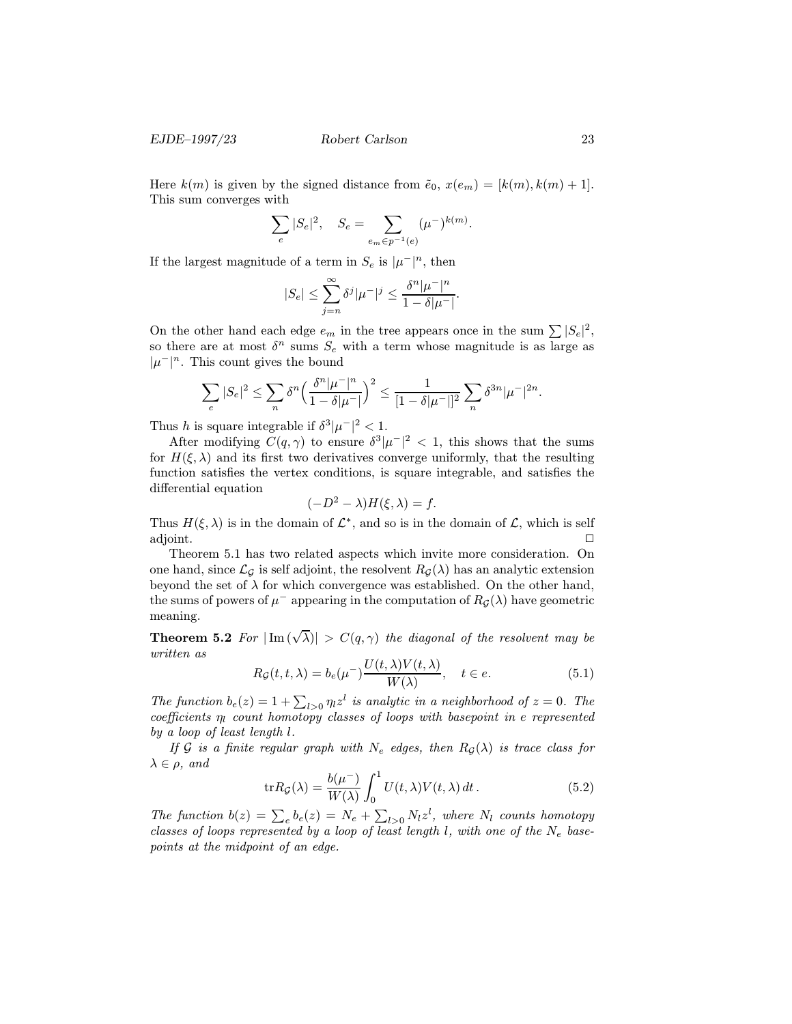Here  $k(m)$  is given by the signed distance from  $\tilde{e}_0$ ,  $x(e_m)=[k(m), k(m) + 1].$ This sum converges with

$$
\sum_{e} |S_e|^2, \quad S_e = \sum_{e_m \in p^{-1}(e)} (\mu^-)^{k(m)}.
$$

If the largest magnitude of a term in  $S_e$  is  $|\mu^-|^n$ , then

$$
|S_e| \leq \sum_{j=n}^{\infty} \delta^j |\mu^-|^j \leq \frac{\delta^n |\mu^-|^n}{1 - \delta |\mu^-|}.
$$

On the other hand each edge  $e_m$  in the tree appears once in the sum  $\sum |S_e|^2$ , so there are at most  $\delta^n$  sums  $S_e$  with a term whose magnitude is as large as  $|\mu^-|^n$ . This count gives the bound

$$
\sum_{e} |S_e|^2 \leq \sum_{n} \delta^n \left( \frac{\delta^n |\mu^-|^n}{1 - \delta |\mu^-|} \right)^2 \leq \frac{1}{[1 - \delta |\mu^-|]^2} \sum_{n} \delta^{3n} |\mu^-|^{2n}.
$$

Thus h is square integrable if  $\delta^3|\mu^-|^2 < 1$ .

After modifying  $C(q, \gamma)$  to ensure  $\delta^3 |\mu^-|^2 < 1$ , this shows that the sums for  $H(\xi, \lambda)$  and its first two derivatives converge uniformly, that the resulting function satisfies the vertex conditions, is square integrable, and satisfies the differential equation

$$
(-D^2 - \lambda)H(\xi, \lambda) = f.
$$

Thus  $H(\xi, \lambda)$  is in the domain of  $\mathcal{L}^*$ , and so is in the domain of  $\mathcal{L}$ , which is self adjoint.  $\hfill \Box$ 

Theorem 5.1 has two related aspects which invite more consideration. On one hand, since  $\mathcal{L}_{\mathcal{G}}$  is self adjoint, the resolvent  $R_{\mathcal{G}}(\lambda)$  has an analytic extension beyond the set of  $\lambda$  for which convergence was established. On the other hand, the sums of powers of  $\mu^-$  appearing in the computation of  $R_G(\lambda)$  have geometric meaning.

**Theorem 5.2** For  $|\text{Im}(\sqrt{\lambda})| > C(q, \gamma)$  the diagonal of the resolvent may be written as

$$
R_{\mathcal{G}}(t, t, \lambda) = b_e(\mu^{-}) \frac{U(t, \lambda)V(t, \lambda)}{W(\lambda)}, \quad t \in e.
$$
\n
$$
(5.1)
$$

The function  $b_e(z) = 1 + \sum_{l>0} \eta_l z^l$  is analytic in a neighborhood of  $z = 0$ . The coefficients  $p_e$  count homotopy classes of loops with basepoint in e-vertes coefficients  $\eta_l$  count homotopy classes of loops with basepoint in e represented by a loop of least length l.

If G is a finite regular graph with  $N_e$  edges, then  $R_G(\lambda)$  is trace class for  $\lambda \in \rho$ , and

$$
\text{tr}R_{\mathcal{G}}(\lambda) = \frac{b(\mu^{-})}{W(\lambda)} \int_0^1 U(t, \lambda) V(t, \lambda) dt.
$$
 (5.2)

The function  $b(z) = \sum_e b_e(z) = N_e + \sum_{l>0} N_l z^l$ , where  $N_l$  counts homotopy<br>classes of loops represented by a loop of legat length l, with one of the N, base. classes of loops represented by a loop of least length l, with one of the  $N_e$  basepoints at the midpoint of an edge.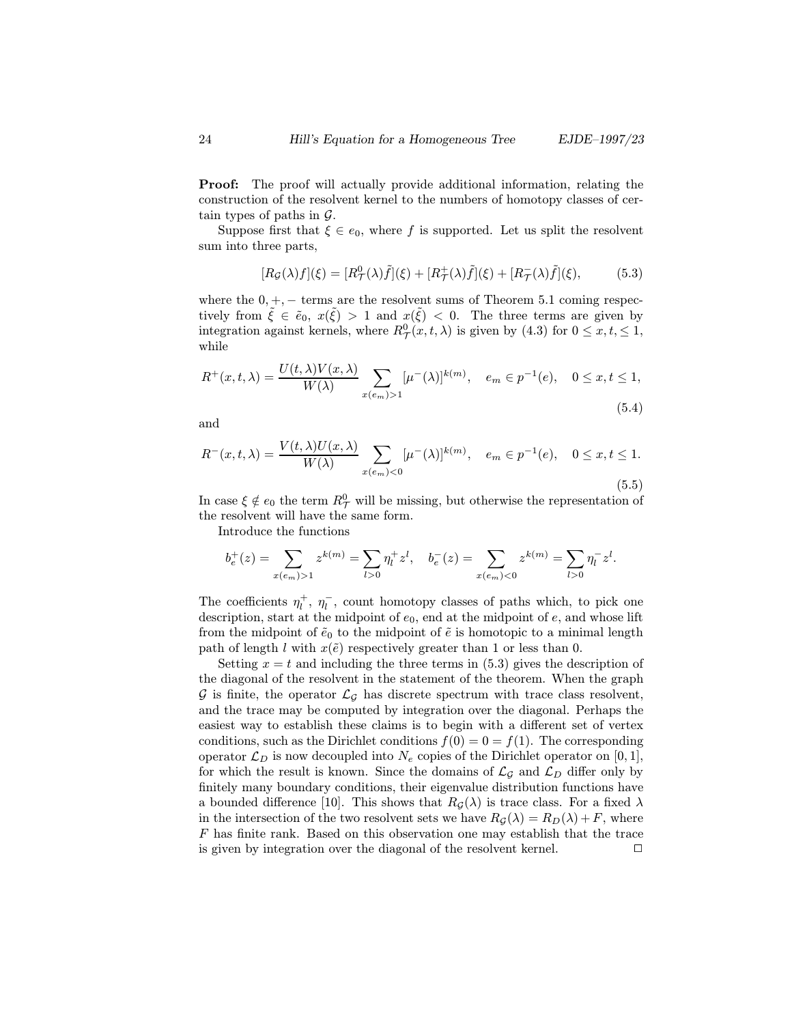**Proof:** The proof will actually provide additional information, relating the construction of the resolvent kernel to the numbers of homotopy classes of certain types of paths in  $\mathcal{G}$ .

Suppose first that  $\xi \in e_0$ , where f is supported. Let us split the resolvent sum into three parts,

$$
[R_{\mathcal{G}}(\lambda)f](\xi) = [R^0_{\mathcal{T}}(\lambda)\tilde{f}](\xi) + [R^+_{\mathcal{T}}(\lambda)\tilde{f}](\xi) + [R^-_{\mathcal{T}}(\lambda)\tilde{f}](\xi),\tag{5.3}
$$

where the  $0, +, -$  terms are the resolvent sums of Theorem 5.1 coming respectively from  $\xi \in \tilde{e}_0$ ,  $x(\xi) > 1$  and  $x(\xi) < 0$ . The three terms are given by integration against kernels, where  $R^0_{\mathcal{T}}(x, t, \lambda)$  is given by  $(4.3)$  for  $0 \le x, t \le 1$ , while

$$
R^{+}(x,t,\lambda) = \frac{U(t,\lambda)V(x,\lambda)}{W(\lambda)} \sum_{x(e_m)>1} [\mu^{-}(\lambda)]^{k(m)}, \quad e_m \in p^{-1}(e), \quad 0 \le x, t \le 1,
$$
\n(5.4)

and

$$
R^{-}(x,t,\lambda) = \frac{V(t,\lambda)U(x,\lambda)}{W(\lambda)} \sum_{x(e_m) < 0} [\mu^{-}(\lambda)]^{k(m)}, \quad e_m \in p^{-1}(e), \quad 0 \le x, t \le 1. \tag{5.5}
$$

In case  $\xi \notin e_0$  the term  $R^0_\mathcal{T}$  will be missing, but otherwise the representation of the resolvent will have the same form.

Introduce the functions

$$
b_e^+(z) = \sum_{x(e_m) > 1} z^{k(m)} = \sum_{l>0} \eta_l^+ z^l, \quad b_e^-(z) = \sum_{x(e_m) < 0} z^{k(m)} = \sum_{l>0} \eta_l^- z^l.
$$

The coefficients  $\eta_l^+$ ,  $\eta_l^-$ , count homotopy classes of paths which, to pick one<br>description start at the midpoint of  $e_0$  and at the midpoint of  $e_0$  and whose lift description, start at the midpoint of  $e_0$ , end at the midpoint of  $e$ , and whose lift from the midpoint of  $\tilde{e}_0$  to the midpoint of  $\tilde{e}$  is homotopic to a minimal length path of length l with  $x(\tilde{e})$  respectively greater than 1 or less than 0.

Setting  $x = t$  and including the three terms in (5.3) gives the description of the diagonal of the resolvent in the statement of the theorem. When the graph G is finite, the operator  $\mathcal{L}_{\mathcal{G}}$  has discrete spectrum with trace class resolvent, and the trace may be computed by integration over the diagonal. Perhaps the easiest way to establish these claims is to begin with a different set of vertex conditions, such as the Dirichlet conditions  $f(0) = 0 = f(1)$ . The corresponding operator  $\mathcal{L}_D$  is now decoupled into  $N_e$  copies of the Dirichlet operator on [0, 1], for which the result is known. Since the domains of  $\mathcal{L}_{\mathcal{G}}$  and  $\mathcal{L}_{D}$  differ only by finitely many boundary conditions, their eigenvalue distribution functions have a bounded difference [10]. This shows that  $R_{\mathcal{G}}(\lambda)$  is trace class. For a fixed  $\lambda$ in the intersection of the two resolvent sets we have  $R_G(\lambda) = R_D(\lambda) + F$ , where F has finite rank. Based on this observation one may establish that the trace is given by integration over the diagonal of the resolvent kernel.  $\Box$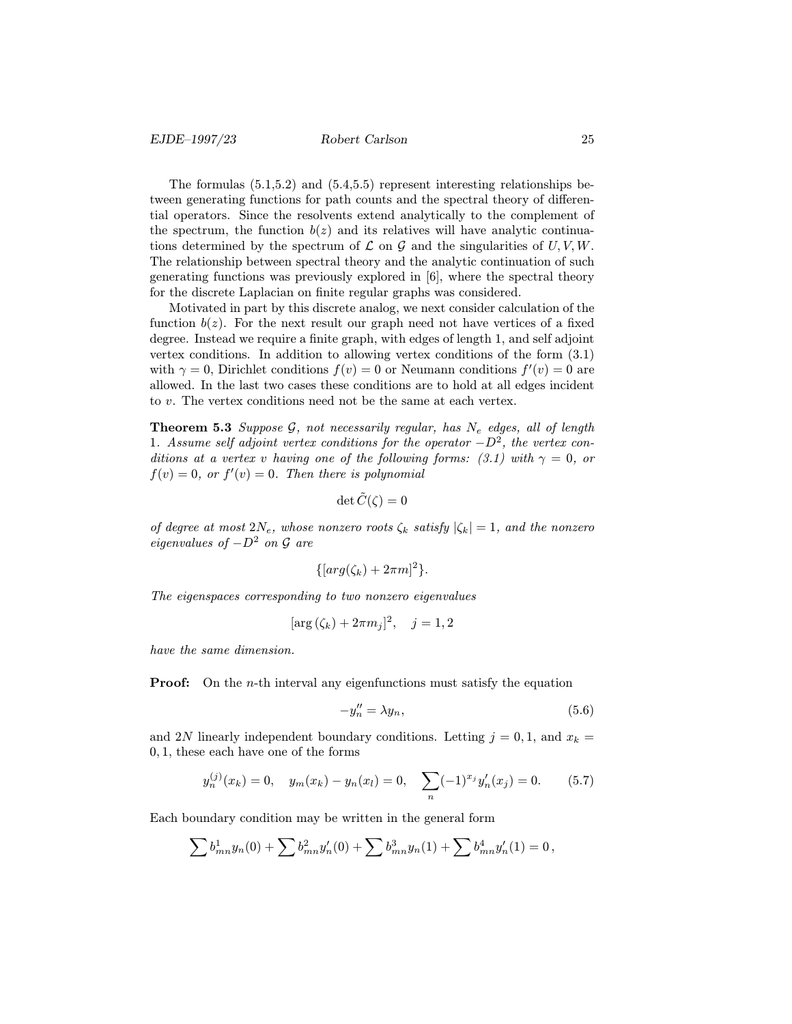The formulas (5.1,5.2) and (5.4,5.5) represent interesting relationships between generating functions for path counts and the spectral theory of differential operators. Since the resolvents extend analytically to the complement of the spectrum, the function  $b(z)$  and its relatives will have analytic continuations determined by the spectrum of  $\mathcal L$  on  $\mathcal G$  and the singularities of  $U, V, W$ . The relationship between spectral theory and the analytic continuation of such generating functions was previously explored in [6], where the spectral theory for the discrete Laplacian on finite regular graphs was considered.

Motivated in part by this discrete analog, we next consider calculation of the function  $b(z)$ . For the next result our graph need not have vertices of a fixed degree. Instead we require a finite graph, with edges of length 1, and self adjoint vertex conditions. In addition to allowing vertex conditions of the form (3.1) with  $\gamma = 0$ , Dirichlet conditions  $f(v) = 0$  or Neumann conditions  $f'(v) = 0$  are allowed. In the last two cases these conditions are to hold at all edges incident to v. The vertex conditions need not be the same at each vertex.

**Theorem 5.3** Suppose  $G$ , not necessarily regular, has  $N_e$  edges, all of length 1. Assume self adjoint vertex conditions for the operator  $-D^2$ , the vertex conditions at a vertex v having one of the following forms: (3.1) with  $\gamma = 0$ , or  $f(v) = 0$ , or  $f'(v) = 0$ . Then there is polynomial

$$
\det \tilde{C}(\zeta) = 0
$$

of degree at most  $2N_e$ , whose nonzero roots  $\zeta_k$  satisfy  $|\zeta_k|=1$ , and the nonzero eigenvalues of  $-D^2$  on  $\mathcal G$  are

$$
\{[arg(\zeta_k)+2\pi m]^2\}.
$$

The eigenspaces corresponding to two nonzero eigenvalues

$$
[\arg (\zeta_k) + 2\pi m_j]^2
$$
,  $j = 1, 2$ 

have the same dimension.

**Proof:** On the *n*-th interval any eigenfunctions must satisfy the equation

$$
-y_n'' = \lambda y_n,\tag{5.6}
$$

and 2N linearly independent boundary conditions. Letting  $j = 0, 1$ , and  $x_k =$ 0, 1, these each have one of the forms

$$
y_n^{(j)}(x_k) = 0, \quad y_m(x_k) - y_n(x_l) = 0, \quad \sum_n (-1)^{x_j} y_n'(x_j) = 0. \tag{5.7}
$$

Each boundary condition may be written in the general form

$$
\sum b_{mn}^1 y_n(0) + \sum b_{mn}^2 y'_n(0) + \sum b_{mn}^3 y_n(1) + \sum b_{mn}^4 y'_n(1) = 0,
$$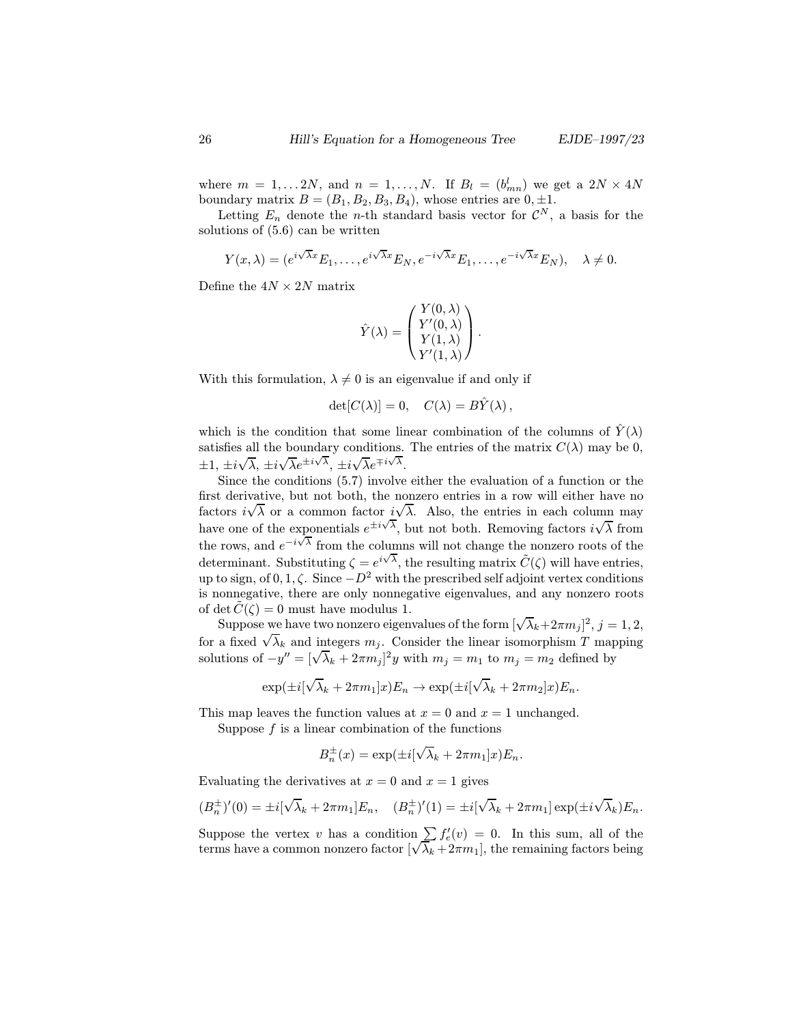where  $m = 1, \ldots 2N$ , and  $n = 1, \ldots, N$ . If  $B_l = (b_{mn}^l)$  we get a  $2N \times 4N$ boundary matrix  $B = (B_1, B_2, B_3, B_4)$ , whose entries are  $0, \pm 1$ .

Letting  $E_n$  denote the *n*-th standard basis vector for  $\mathcal{C}^N$ , a basis for the solutions of (5.6) can be written

$$
Y(x,\lambda)=(e^{i\sqrt{\lambda}x}E_1,\ldots,e^{i\sqrt{\lambda}x}E_N,e^{-i\sqrt{\lambda}x}E_1,\ldots,e^{-i\sqrt{\lambda}x}E_N),\quad \lambda\neq 0.
$$

Define the  $4N \times 2N$  matrix

$$
\hat{Y}(\lambda) = \begin{pmatrix} Y(0, \lambda) \\ Y'(0, \lambda) \\ Y(1, \lambda) \\ Y'(1, \lambda) \end{pmatrix}.
$$

With this formulation,  $\lambda \neq 0$  is an eigenvalue if and only if

$$
\det[C(\lambda)] = 0, \quad C(\lambda) = B\hat{Y}(\lambda),
$$

which is the condition that some linear combination of the columns of  $\tilde{Y}(\lambda)$ satisfies all the boundary conditions. The entries of the matrix  $C(\lambda)$  may be 0,  $\pm 1, \pm i$ √  $\lambda, \pm i$  $\sqrt{\lambda}e^{\pm i\sqrt{\lambda}}, \pm i$  $\sqrt{\lambda}e^{\mp i\sqrt{\lambda}}$ .

Since the conditions (5.7) involve either the evaluation of a function or the first derivative, but not both, the nonzero entries in a row will either have no factors  $i\sqrt{\lambda}$  or a common factor  $i\sqrt{\lambda}$ . Also, the entries in each column may have one of the exponentials  $e^{\pm i\sqrt{\lambda}}$ , but not both. Removing factors *i* √ exponentials  $e^{\pm i \sqrt{\lambda}}$ , but not both. Removing factors  $i\sqrt{\lambda}$  from the rows, and  $e^{-i\sqrt{\lambda}}$  from the columns will not change the nonzero roots of the determinant. Substituting  $\zeta = e^{i\sqrt{\lambda}}$ , the resulting matrix  $\tilde{C}(\zeta)$  will have entries, up to sign, of 0, 1,  $\zeta$ . Since  $-D^2$  with the prescribed self adjoint vertex conditions is nonnegative, there are only nonnegative eigenvalues, and any nonzero roots of det  $C(\zeta) = 0$  must have modulus 1.

Suppose we have two nonzero eigenvalues of the form  $[\sqrt{\lambda_k} + 2\pi m_j]^2$ ,  $j = 1, 2$ , suppose we have two honzero eigenvalues of the form  $[\sqrt{\lambda_k+2\pi m_j}]$ ,  $j=1,2$ ,<br>for a fixed  $\sqrt{\lambda_k}$  and integers  $m_j$ . Consider the linear isomorphism T mapping solutions of  $-y'' = [\sqrt{\lambda_k} + 2\pi m_j]^2 y$  with  $m_j = m_1$  to  $m_j = m_2$  defined by

$$
\exp(\pm i[\sqrt{\lambda_k} + 2\pi m_1]x)E_n \to \exp(\pm i[\sqrt{\lambda_k} + 2\pi m_2]x)E_n.
$$

This map leaves the function values at  $x = 0$  and  $x = 1$  unchanged.

Suppose  $f$  is a linear combination of the functions

$$
B_n^{\pm}(x) = \exp(\pm i[\sqrt{\lambda_k} + 2\pi m_1]x)E_n.
$$

Evaluating the derivatives at  $x = 0$  and  $x = 1$  gives

$$
(B_n^{\pm})'(0) = \pm i[\sqrt{\lambda_k} + 2\pi m_1]E_n, \quad (B_n^{\pm})'(1) = \pm i[\sqrt{\lambda_k} + 2\pi m_1] \exp(\pm i\sqrt{\lambda_k})E_n.
$$

Suppose the vertex v has a condition  $\sum f'_e(v) = 0$ . In this sum, all of the terms have a common popper factor  $\left(\sqrt{\lambda}\right)$ ,  $\left(\frac{2\pi m}{\lambda}\right)$  the remaining factors being Suppose the vertex v has a condition  $\sum_{k} J_e(v) = 0$ . In this sum, all of the terms have a common nonzero factor  $[\sqrt{\lambda_k} + 2\pi m_1]$ , the remaining factors being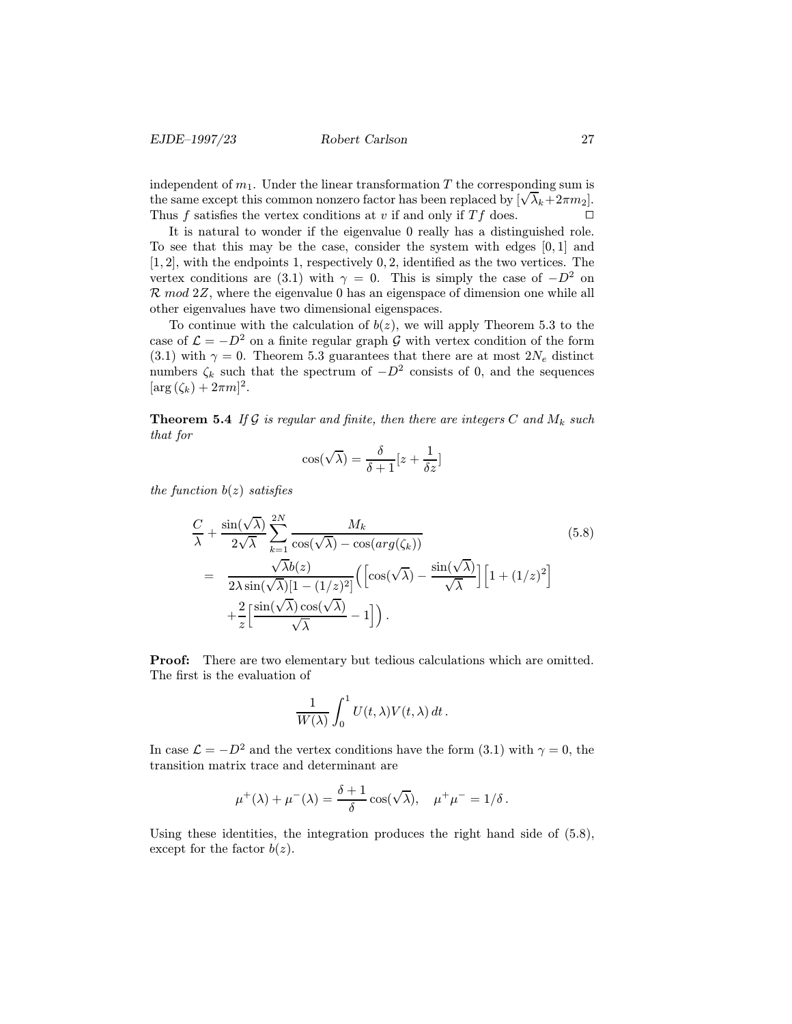independent of  $m_1$ . Under the linear transformation T the corresponding sum is mae pendent of  $m_1$ . Under the linear transformation I the corresponding sum is<br>the same except this common nonzero factor has been replaced by  $[\sqrt{\lambda_k}+2\pi m_2]$ .<br>Thus f estisfies the venter explitions at u if and only if Thus f satisfies the vertex conditions at v if and only if  $Tf$  does.

It is natural to wonder if the eigenvalue 0 really has a distinguished role. To see that this may be the case, consider the system with edges [0, 1] and  $[1, 2]$ , with the endpoints 1, respectively 0, 2, identified as the two vertices. The vertex conditions are (3.1) with  $\gamma = 0$ . This is simply the case of  $-D^2$  on  $\mathcal{R} \mod 2\mathbb{Z}$ , where the eigenvalue 0 has an eigenspace of dimension one while all other eigenvalues have two dimensional eigenspaces.

To continue with the calculation of  $b(z)$ , we will apply Theorem 5.3 to the case of  $\mathcal{L} = -D^2$  on a finite regular graph G with vertex condition of the form (3.1) with  $\gamma = 0$ . Theorem 5.3 guarantees that there are at most  $2N_e$  distinct numbers  $\zeta_k$  such that the spectrum of  $-D^2$  consists of 0, and the sequences  $[\arg (\zeta_k) + 2\pi m]^2$ .

**Theorem 5.4** If G is regular and finite, then there are integers C and  $M_k$  such that for

$$
\cos(\sqrt{\lambda}) = \frac{\delta}{\delta+1}[z+\frac{1}{\delta z}]
$$

the function  $b(z)$  satisfies

$$
\frac{C}{\lambda} + \frac{\sin(\sqrt{\lambda})}{2\sqrt{\lambda}} \sum_{k=1}^{2N} \frac{M_k}{\cos(\sqrt{\lambda}) - \cos(\arg(\zeta_k))}
$$
\n
$$
= \frac{\sqrt{\lambda}b(z)}{2\lambda\sin(\sqrt{\lambda})[1 - (1/z)^2]} \Big( \Big[ \cos(\sqrt{\lambda}) - \frac{\sin(\sqrt{\lambda})}{\sqrt{\lambda}} \Big] \Big[ 1 + (1/z)^2 \Big]
$$
\n
$$
+ \frac{2}{z} \Big[ \frac{\sin(\sqrt{\lambda})\cos(\sqrt{\lambda})}{\sqrt{\lambda}} - 1 \Big] \Big).
$$
\n(5.8)

Proof: There are two elementary but tedious calculations which are omitted. The first is the evaluation of

$$
\frac{1}{W(\lambda)}\int_0^1 U(t,\lambda)V(t,\lambda)\,dt\,.
$$

In case  $\mathcal{L} = -D^2$  and the vertex conditions have the form (3.1) with  $\gamma = 0$ , the transition matrix trace and determinant are

$$
\mu^+(\lambda) + \mu^-(\lambda) = \frac{\delta+1}{\delta} \cos(\sqrt{\lambda}), \quad \mu^+\mu^- = 1/\delta.
$$

Using these identities, the integration produces the right hand side of  $(5.8)$ , except for the factor  $b(z)$ .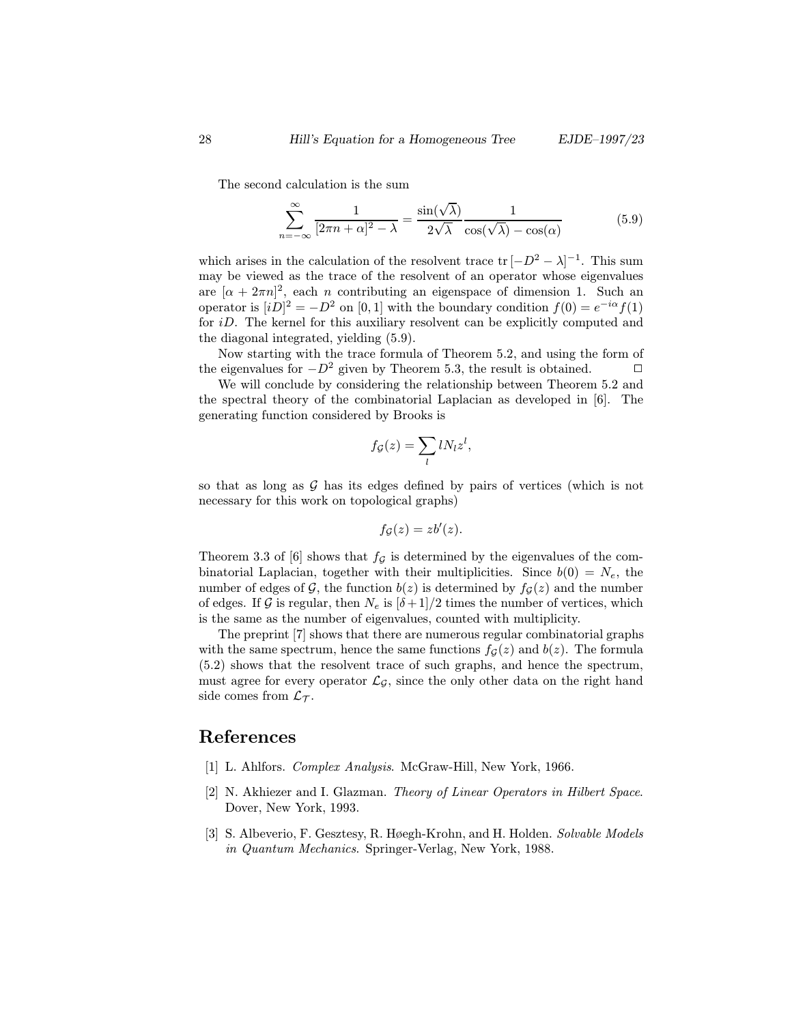The second calculation is the sum

$$
\sum_{n=-\infty}^{\infty} \frac{1}{[2\pi n + \alpha]^2 - \lambda} = \frac{\sin(\sqrt{\lambda})}{2\sqrt{\lambda}} \frac{1}{\cos(\sqrt{\lambda}) - \cos(\alpha)}
$$
(5.9)

which arises in the calculation of the resolvent trace  $\text{tr} [-D^2 - \lambda]^{-1}$ . This sum may be viewed as the trace of the resolvent of an operator whose eigenvalues are  $[\alpha + 2\pi n]^2$ , each *n* contributing an eigenspace of dimension 1. Such an operator is  $[iD]^2 = -D^2$  on  $[0,1]$  with the boundary condition  $f(0) = e^{-i\alpha} f(1)$ for iD. The kernel for this auxiliary resolvent can be explicitly computed and the diagonal integrated, yielding (5.9).

Now starting with the trace formula of Theorem 5.2, and using the form of the eigenvalues for  $-D^2$  given by Theorem 5.3, the result is obtained.  $\Box$ 

We will conclude by considering the relationship between Theorem 5.2 and the spectral theory of the combinatorial Laplacian as developed in [6]. The generating function considered by Brooks is

$$
f_{\mathcal{G}}(z) = \sum_{l} l N_{l} z^{l},
$$

so that as long as  $G$  has its edges defined by pairs of vertices (which is not necessary for this work on topological graphs)

$$
f_{\mathcal{G}}(z) = zb'(z).
$$

Theorem 3.3 of [6] shows that  $f_{\mathcal{G}}$  is determined by the eigenvalues of the combinatorial Laplacian, together with their multiplicities. Since  $b(0) = N_e$ , the number of edges of G, the function  $b(z)$  is determined by  $f<sub>G</sub>(z)$  and the number of edges. If G is regular, then  $N_e$  is  $[\delta+1]/2$  times the number of vertices, which is the same as the number of eigenvalues, counted with multiplicity.

The preprint [7] shows that there are numerous regular combinatorial graphs with the same spectrum, hence the same functions  $f_{\mathcal{G}}(z)$  and  $b(z)$ . The formula (5.2) shows that the resolvent trace of such graphs, and hence the spectrum, must agree for every operator  $\mathcal{L}_{\mathcal{G}}$ , since the only other data on the right hand side comes from  $\mathcal{L}_{\mathcal{T}}$ .

#### References

- [1] L. Ahlfors. *Complex Analysis*. McGraw-Hill, New York, 1966.
- [2] N. Akhiezer and I. Glazman. Theory of Linear Operators in Hilbert Space. Dover, New York, 1993.
- [3] S. Albeverio, F. Gesztesy, R. Høegh-Krohn, and H. Holden. Solvable Models in Quantum Mechanics. Springer-Verlag, New York, 1988.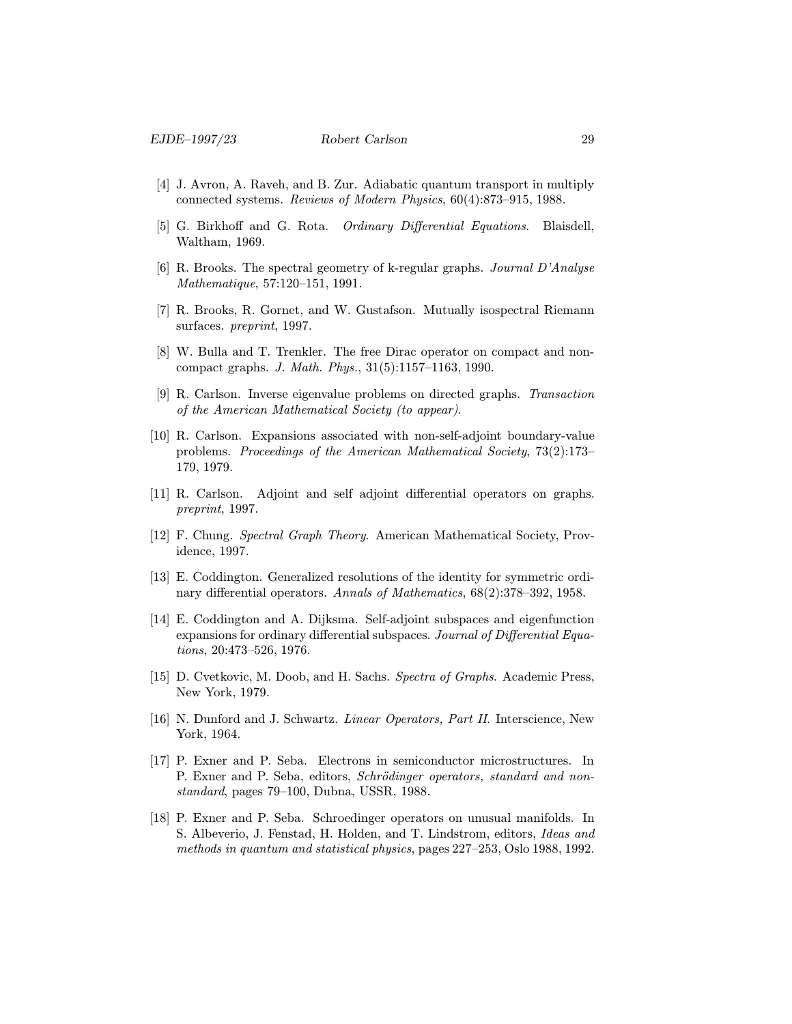- [4] J. Avron, A. Raveh, and B. Zur. Adiabatic quantum transport in multiply connected systems. Reviews of Modern Physics, 60(4):873–915, 1988.
- [5] G. Birkhoff and G. Rota. Ordinary Differential Equations. Blaisdell, Waltham, 1969.
- [6] R. Brooks. The spectral geometry of k-regular graphs. Journal D'Analyse Mathematique, 57:120–151, 1991.
- [7] R. Brooks, R. Gornet, and W. Gustafson. Mutually isospectral Riemann surfaces. preprint, 1997.
- [8] W. Bulla and T. Trenkler. The free Dirac operator on compact and noncompact graphs. J. Math. Phys., 31(5):1157–1163, 1990.
- [9] R. Carlson. Inverse eigenvalue problems on directed graphs. Transaction of the American Mathematical Society (to appear).
- [10] R. Carlson. Expansions associated with non-self-adjoint boundary-value problems. Proceedings of the American Mathematical Society, 73(2):173– 179, 1979.
- [11] R. Carlson. Adjoint and self adjoint differential operators on graphs. preprint, 1997.
- [12] F. Chung. Spectral Graph Theory. American Mathematical Society, Providence, 1997.
- [13] E. Coddington. Generalized resolutions of the identity for symmetric ordinary differential operators. Annals of Mathematics, 68(2):378–392, 1958.
- [14] E. Coddington and A. Dijksma. Self-adjoint subspaces and eigenfunction expansions for ordinary differential subspaces. Journal of Differential Equations, 20:473–526, 1976.
- [15] D. Cvetkovic, M. Doob, and H. Sachs. Spectra of Graphs. Academic Press, New York, 1979.
- [16] N. Dunford and J. Schwartz. *Linear Operators, Part II*. Interscience, New York, 1964.
- [17] P. Exner and P. Seba. Electrons in semiconductor microstructures. In P. Exner and P. Seba, editors, Schrödinger operators, standard and nonstandard, pages 79–100, Dubna, USSR, 1988.
- [18] P. Exner and P. Seba. Schroedinger operators on unusual manifolds. In S. Albeverio, J. Fenstad, H. Holden, and T. Lindstrom, editors, Ideas and methods in quantum and statistical physics, pages 227–253, Oslo 1988, 1992.